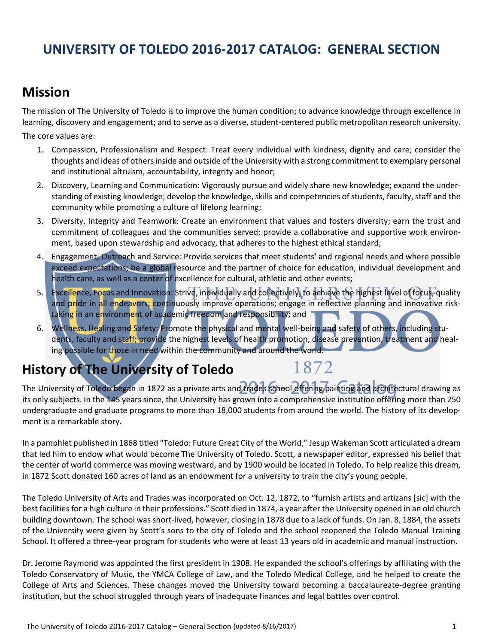# **UNIVERSITY OF TOLEDO 2016‐2017 CATALOG: GENERAL SECTION**

## **Mission**

The mission of The University of Toledo is to improve the human condition; to advance knowledge through excellence in learning, discovery and engagement; and to serve as a diverse, student‐centered public metropolitan research university.

The core values are:

- 1. Compassion, Professionalism and Respect: Treat every individual with kindness, dignity and care; consider the thoughts and ideas of othersinside and outside of the University with a strong commitment to exemplary personal and institutional altruism, accountability, integrity and honor;
- 2. Discovery, Learning and Communication: Vigorously pursue and widely share new knowledge; expand the under‐ standing of existing knowledge; develop the knowledge, skills and competencies of students, faculty, staff and the community while promoting a culture of lifelong learning;
- 3. Diversity, Integrity and Teamwork: Create an environment that values and fosters diversity; earn the trust and commitment of colleagues and the communities served; provide a collaborative and supportive work environment, based upon stewardship and advocacy, that adheres to the highest ethical standard;
- 4. Engagement, Outreach and Service: Provide services that meet students' and regional needs and where possible exceed expectations; be a global resource and the partner of choice for education, individual development and health care, as well as a center of excellence for cultural, athletic and other events;
- 5. Excellence, Focus and Innovation: Strive, individually and collectively, to achieve the highest level of focus, quality and pride in all endeavors; continuously improve operations; engage in reflective planning and innovative risktaking in an environment of academic freedom and responsibility; and
- 6. Wellness, Healing and Safety: Promote the physical and mental well-being and safety of others, including students, faculty and staff; provide the highest levels of health promotion, disease prevention, treatment and healing possible for those in need within the community and around the world.

# **History of The University of Toledo**

# 1872

The University of Toledo began in 1872 as a private arts and trades school offering painting and architectural drawing as its only subjects. In the 145 years since, the University has grown into a comprehensive institution offering more than 250 undergraduate and graduate programs to more than 18,000 students from around the world. The history of its development is a remarkable story.

In a pamphlet published in 1868 titled "Toledo: Future Great City of the World," Jesup Wakeman Scott articulated a dream that led him to endow what would become The University of Toledo. Scott, a newspaper editor, expressed his belief that the center of world commerce was moving westward, and by 1900 would be located in Toledo. To help realize this dream, in 1872 Scott donated 160 acres of land as an endowment for a university to train the city's young people.

The Toledo University of Arts and Trades was incorporated on Oct. 12, 1872, to "furnish artists and artizans [sic] with the best facilities for a high culture in their professions." Scott died in 1874, a year after the University opened in an old church building downtown. The school wasshort‐lived, however, closing in 1878 due to a lack of funds. On Jan. 8, 1884, the assets of the University were given by Scott's sons to the city of Toledo and the school reopened the Toledo Manual Training School. It offered a three‐year program for students who were at least 13 years old in academic and manual instruction.

Dr. Jerome Raymond was appointed the first president in 1908. He expanded the school's offerings by affiliating with the Toledo Conservatory of Music, the YMCA College of Law, and the Toledo Medical College, and he helped to create the College of Arts and Sciences. These changes moved the University toward becoming a baccalaureate‐degree granting institution, but the school struggled through years of inadequate finances and legal battles over control.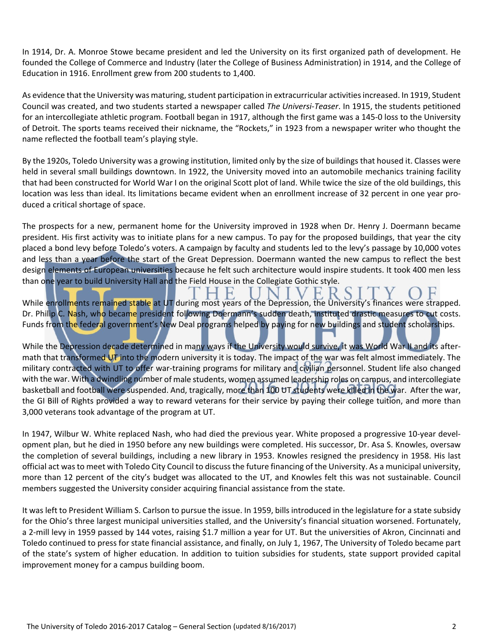In 1914, Dr. A. Monroe Stowe became president and led the University on its first organized path of development. He founded the College of Commerce and Industry (later the College of Business Administration) in 1914, and the College of Education in 1916. Enrollment grew from 200 students to 1,400.

As evidence that the University was maturing, student participation in extracurricular activities increased. In 1919, Student Council was created, and two students started a newspaper called *The Universi‐Teaser*. In 1915, the students petitioned for an intercollegiate athletic program. Football began in 1917, although the first game was a 145-0 loss to the University of Detroit. The sports teams received their nickname, the "Rockets," in 1923 from a newspaper writer who thought the name reflected the football team's playing style.

By the 1920s, Toledo University was a growing institution, limited only by the size of buildings that housed it. Classes were held in several small buildings downtown. In 1922, the University moved into an automobile mechanics training facility that had been constructed for World War I on the original Scott plot of land. While twice the size of the old buildings, this location was less than ideal. Its limitations became evident when an enrollment increase of 32 percent in one year produced a critical shortage of space.

The prospects for a new, permanent home for the University improved in 1928 when Dr. Henry J. Doermann became president. His first activity was to initiate plans for a new campus. To pay for the proposed buildings, that year the city placed a bond levy before Toledo's voters. A campaign by faculty and students led to the levy's passage by 10,000 votes and less than a year before the start of the Great Depression. Doermann wanted the new campus to reflect the best design elements of European universities because he felt such architecture would inspire students. It took 400 men less than one year to build University Hall and the Field House in the Collegiate Gothic style.

While enrollments remained stable at UT during most years of the Depression, the University's finances were strapped. Dr. Philip C. Nash, who became president following Doermann's sudden death, instituted drastic measures to cut costs. Funds from the federal government's New Deal programs helped by paying for new buildings and student scholarships.

While the Depression decade determined in many ways if the University would survive, it was World War II and its aftermath that transformed UT into the modern university it is today. The impact of the war was felt almost immediately. The military contracted with UT to offer war-training programs for military and civilian personnel. Student life also changed with the war. With a dwindling number of male students, women assumed leadership roles on campus, and intercollegiate basketball and football were suspended. And, tragically, more than 100 UT students were killed in the war. After the war, the GI Bill of Rights provided a way to reward veterans for their service by paying their college tuition, and more than 3,000 veterans took advantage of the program at UT.

In 1947, Wilbur W. White replaced Nash, who had died the previous year. White proposed a progressive 10-year development plan, but he died in 1950 before any new buildings were completed. His successor, Dr. Asa S. Knowles, oversaw the completion of several buildings, including a new library in 1953. Knowles resigned the presidency in 1958. His last official act wasto meet with Toledo City Council to discussthe future financing of the University. As a municipal university, more than 12 percent of the city's budget was allocated to the UT, and Knowles felt this was not sustainable. Council members suggested the University consider acquiring financial assistance from the state.

It was left to President William S. Carlson to pursue the issue. In 1959, bills introduced in the legislature for a state subsidy for the Ohio's three largest municipal universities stalled, and the University's financial situation worsened. Fortunately, a 2‐mill levy in 1959 passed by 144 votes, raising \$1.7 million a year for UT. But the universities of Akron, Cincinnati and Toledo continued to press for state financial assistance, and finally, on July 1, 1967, The University of Toledo became part of the state's system of higher education. In addition to tuition subsidies for students, state support provided capital improvement money for a campus building boom.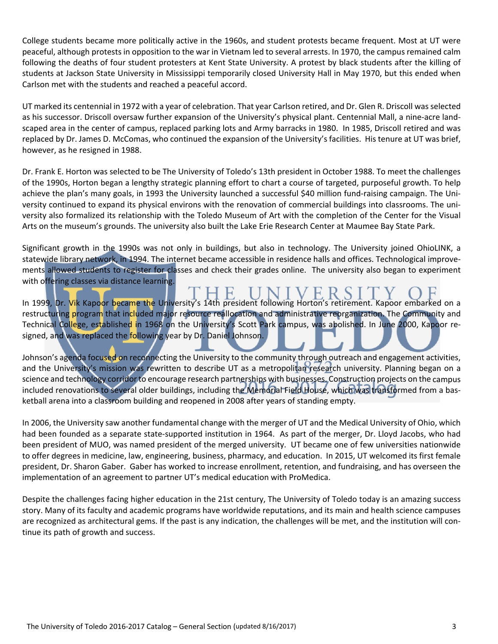College students became more politically active in the 1960s, and student protests became frequent. Most at UT were peaceful, although protests in opposition to the war in Vietnam led to several arrests. In 1970, the campus remained calm following the deaths of four student protesters at Kent State University. A protest by black students after the killing of students at Jackson State University in Mississippi temporarily closed University Hall in May 1970, but this ended when Carlson met with the students and reached a peaceful accord.

UT marked its centennial in 1972 with a year of celebration. That year Carlson retired, and Dr. Glen R. Driscoll wasselected as his successor. Driscoll oversaw further expansion of the University's physical plant. Centennial Mall, a nine-acre landscaped area in the center of campus, replaced parking lots and Army barracks in 1980. In 1985, Driscoll retired and was replaced by Dr. James D. McComas, who continued the expansion of the University's facilities. His tenure at UT was brief, however, as he resigned in 1988.

Dr. Frank E. Horton was selected to be The University of Toledo's 13th president in October 1988. To meet the challenges of the 1990s, Horton began a lengthy strategic planning effort to chart a course of targeted, purposeful growth. To help achieve the plan's many goals, in 1993 the University launched a successful \$40 million fund-raising campaign. The University continued to expand its physical environs with the renovation of commercial buildings into classrooms. The uni‐ versity also formalized its relationship with the Toledo Museum of Art with the completion of the Center for the Visual Arts on the museum's grounds. The university also built the Lake Erie Research Center at Maumee Bay State Park.

Significant growth in the 1990s was not only in buildings, but also in technology. The University joined OhioLINK, a statewide library network, in 1994. The internet became accessible in residence halls and offices. Technological improve‐ ments allowed students to register for classes and check their grades online. The university also began to experiment with offering classes via distance learning.

In 1999, Dr. Vik Kapoor became the University's 14th president following Horton's retirement. Kapoor embarked on a restructuring program that included major resource reallocation and administrative reorganization. The Community and Technical College, established in 1968 on the University's Scott Park campus, was abolished. In June 2000, Kapoor resigned, and was replaced the following year by Dr. Daniel Johnson.

Johnson's agenda focused on reconnecting the University to the community through outreach and engagement activities, and the University's mission was rewritten to describe UT as a metropolitan research university. Planning began on a science and technology corridor to encourage research partnerships with businesses. Construction projects on the campus included renovations to several older buildings, including the Memorial Field House, which was transformed from a basketball arena into a classroom building and reopened in 2008 after years of standing empty.

In 2006, the University saw another fundamental change with the merger of UT and the Medical University of Ohio, which had been founded as a separate state-supported institution in 1964. As part of the merger, Dr. Lloyd Jacobs, who had been president of MUO, was named president of the merged university. UT became one of few universities nationwide to offer degrees in medicine, law, engineering, business, pharmacy, and education. In 2015, UT welcomed its first female president, Dr. Sharon Gaber. Gaber has worked to increase enrollment, retention, and fundraising, and has overseen the implementation of an agreement to partner UT's medical education with ProMedica.

Despite the challenges facing higher education in the 21st century, The University of Toledo today is an amazing success story. Many of its faculty and academic programs have worldwide reputations, and its main and health science campuses are recognized as architectural gems. If the past is any indication, the challenges will be met, and the institution will continue its path of growth and success.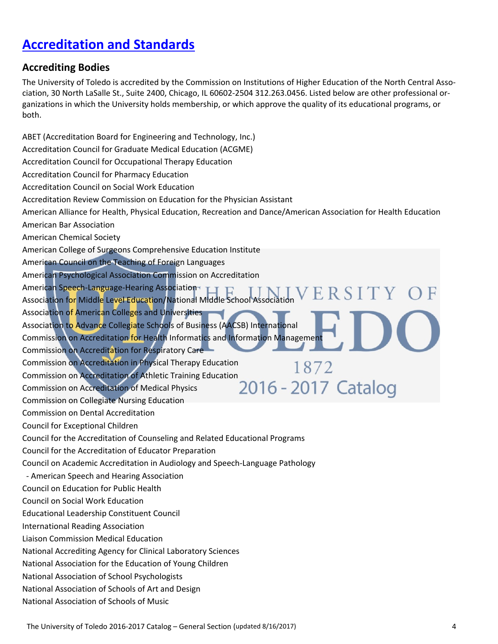# **Accreditation and Standards**

#### **Accrediting Bodies**

The University of Toledo is accredited by the Commission on Institutions of Higher Education of the North Central Asso‐ ciation, 30 North LaSalle St., Suite 2400, Chicago, IL 60602‐2504 312.263.0456. Listed below are other professional or‐ ganizations in which the University holds membership, or which approve the quality of its educational programs, or both.

ABET (Accreditation Board for Engineering and Technology, Inc.) Accreditation Council for Graduate Medical Education (ACGME) Accreditation Council for Occupational Therapy Education Accreditation Council for Pharmacy Education Accreditation Council on Social Work Education Accreditation Review Commission on Education for the Physician Assistant American Alliance for Health, Physical Education, Recreation and Dance/American Association for Health Education American Bar Association American Chemical Society American College of Surgeons Comprehensive Education Institute American Council on the Teaching of Foreign Languages American Psychological Association Commission on Accreditation American Speech‐Language‐Hearing Association Association for Middle Level Education/National Middle School Association Association of American Colleges and Universities Association to Advance Collegiate Schools of Business (AACSB) International Commission on Accreditation for Health Informatics and Information Management Commission on Accreditation for Respiratory Care Commission on Accreditation in Physical Therapy Education 1872 Commission on Accreditation of Athletic Training Education<br>
Commission on Accreditation of Medical Physics  $2016 - 2017$ Catalog Commission on Accreditation of Medical Physics Commission on Collegiate Nursing Education Commission on Dental Accreditation Council for Exceptional Children Council for the Accreditation of Counseling and Related Educational Programs Council for the Accreditation of Educator Preparation Council on Academic Accreditation in Audiology and Speech‐Language Pathology ‐ American Speech and Hearing Association Council on Education for Public Health Council on Social Work Education Educational Leadership Constituent Council International Reading Association Liaison Commission Medical Education National Accrediting Agency for Clinical Laboratory Sciences National Association for the Education of Young Children National Association of School Psychologists National Association of Schools of Art and Design National Association of Schools of Music

The University of Toledo 2016‐2017 Catalog – General Section (updated 8/16/2017) 4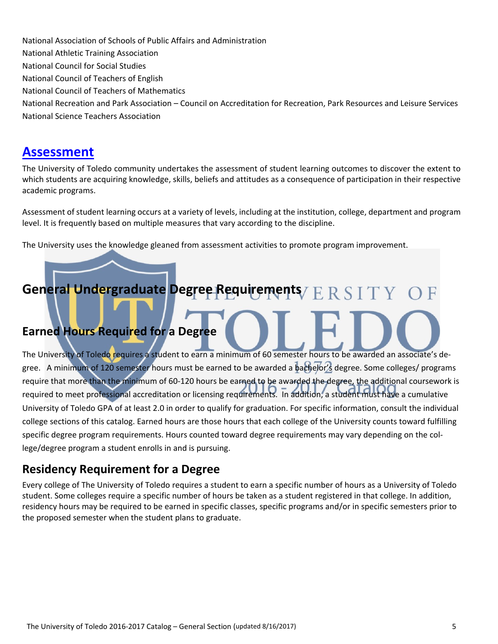National Association of Schools of Public Affairs and Administration National Athletic Training Association National Council for Social Studies National Council of Teachers of English National Council of Teachers of Mathematics National Recreation and Park Association – Council on Accreditation for Recreation, Park Resources and Leisure Services National Science Teachers Association

### **Assessment**

The University of Toledo community undertakes the assessment of student learning outcomes to discover the extent to which students are acquiring knowledge, skills, beliefs and attitudes as a consequence of participation in their respective academic programs.

Assessment of student learning occurs at a variety of levels, including at the institution, college, department and program level. It is frequently based on multiple measures that vary according to the discipline.

The University uses the knowledge gleaned from assessment activities to promote program improvement.

# **General Undergraduate Degree Requirements Earned Hours Required for a Degree**

The University of Toledo requires a student to earn a minimum of 60 semester hours to be awarded an associate's degree. A minimum of 120 semester hours must be earned to be awarded a bachelor's degree. Some colleges/ programs require that more than the minimum of 60‐120 hours be earned to be awarded the degree, the additional coursework is required to meet professional accreditation or licensing requirements. In addition, a student must have a cumulative University of Toledo GPA of at least 2.0 in order to qualify for graduation. For specific information, consult the individual college sections of this catalog. Earned hours are those hours that each college of the University counts toward fulfilling specific degree program requirements. Hours counted toward degree requirements may vary depending on the college/degree program a student enrolls in and is pursuing.

### **Residency Requirement for a Degree**

Every college of The University of Toledo requires a student to earn a specific number of hours as a University of Toledo student. Some colleges require a specific number of hours be taken as a student registered in that college. In addition, residency hours may be required to be earned in specific classes, specific programs and/or in specific semesters prior to the proposed semester when the student plans to graduate.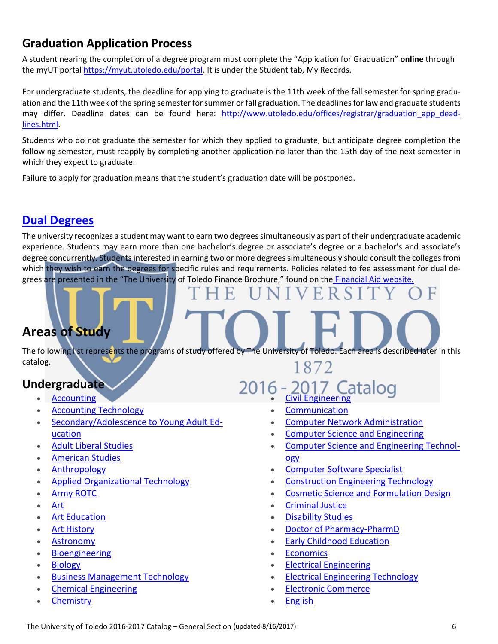#### **Graduation Application Process**

A student nearing the completion of a degree program must complete the "Application for Graduation" **online** through the myUT portal https://myut.utoledo.edu/portal. It is under the Student tab, My Records.

For undergraduate students, the deadline for applying to graduate is the 11th week of the fall semester for spring graduation and the 11th week of the spring semester for summer or fall graduation. The deadlines for law and graduate students may differ. Deadline dates can be found here: http://www.utoledo.edu/offices/registrar/graduation app deadlines.html.

Students who do not graduate the semester for which they applied to graduate, but anticipate degree completion the following semester, must reapply by completing another application no later than the 15th day of the next semester in which they expect to graduate.

Failure to apply for graduation means that the student's graduation date will be postponed.

#### **Dual Degrees**

The university recognizes a student may want to earn two degreessimultaneously as part of their undergraduate academic experience. Students may earn more than one bachelor's degree or associate's degree or a bachelor's and associate's degree concurrently. Students interested in earning two or more degrees simultaneously should consult the colleges from which they wish to earn the degrees for specific rules and requirements. Policies related to fee assessment for dual degrees are presented in the "The University of Toledo Finance Brochure," found on the Financial Aid website.

# **Areas of Study**

The following list represents the programs of study offered by The University of Toledo. Each area is described later in this catalog. 1872

#### **Undergraduate**

- Accounting
- Accounting Technology
- Secondary/Adolescence to Young Adult Ed‐ ucation
- Adult Liberal Studies
- American Studies
- Anthropology
- Applied Organizational Technology
- Army ROTC
- Art
- Art Education
- Art History
- Astronomy
- **•** Bioengineering
- Biology
- Business Management Technology
- Chemical Engineering
- **Chemistry**
- 2016 2017 Catalog
	- Communication
	- Computer Network Administration
	- Computer Science and Engineering
	- Computer Science and Engineering Technology
	- Computer Software Specialist
	- Construction Engineering Technology
	- Cosmetic Science and Formulation Design
	- Criminal Justice
	- Disability Studies
	- **Doctor of Pharmacy-PharmD**
	- Early Childhood Education
	- Economics
	- **•** Electrical Engineering
	- Electrical Engineering Technology
	- Electronic Commerce
	- English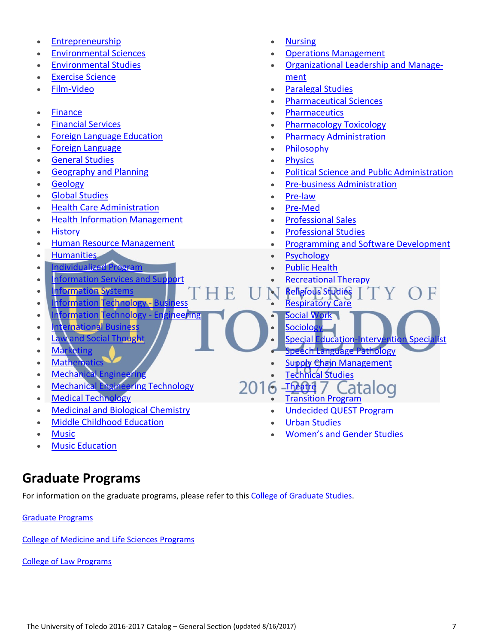- Entrepreneurship
- Environmental Sciences
- Environmental Studies
- Exercise Science
- Film‐Video
- Finance
- Financial Services
- Foreign Language Education
- Foreign Language
- General Studies
- Geography and Planning
- Geology
- Global Studies
- Health Care Administration
- Health Information Management
- **History**
- Human Resource Management
- **•** Humanities
- **Individualized Program**
- Information Services and Support
- **Information Systems**
- Information Technology Business
- Information Technology Engineering
- International Business
- **Law and Social Thought**
- Marketing
- **Mathematics**
- Mechanical Engineering
- Mechanical Engineering Technology
- Medical Technology
- Medicinal and Biological Chemistry
- Middle Childhood Education
- Music
- Music Education

## **Graduate Programs**

For information on the graduate programs, please refer to this College of Graduate Studies.

Graduate Programs

College of Medicine and Life Sciences Programs

College of Law Programs

- Nursing
- Operations Management
- Organizational Leadership and Manage‐ ment
- Paralegal Studies
- Pharmaceutical Sciences
- Pharmaceutics
- Pharmacology Toxicology
- Pharmacy Administration
- Philosophy
- **Physics**
- Political Science and Public Administration
- Pre‐business Administration
- Pre‐law
- Pre‐Med
- Professional Sales
- Professional Studies
- Programming and Software Development
- Psychology
- Public Health
- Recreational Therapy
- Religious Studies
	- Respiratory Care
	- Social Work
	- **Sociology** Special Education-Intervention Speci
	- Speech Language Pathology
	- Supply Chain Management
- Technical Studies
- 2016 Theatre 7 Catalog
	- Transition Program
	- Undecided QUEST Program
	- Urban Studies
	- Women's and Gender Studies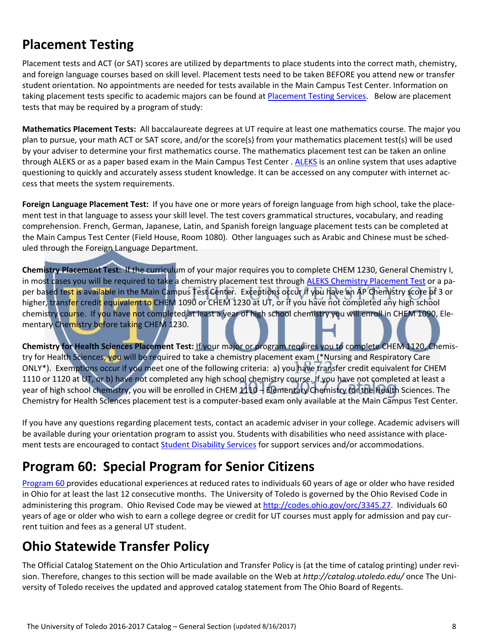# **Placement Testing**

Placement tests and ACT (or SAT) scores are utilized by departments to place students into the correct math, chemistry, and foreign language courses based on skill level. Placement tests need to be taken BEFORE you attend new or transfer student orientation. No appointments are needed for tests available in the Main Campus Test Center. Information on taking placement tests specific to academic majors can be found at Placement Testing Services. Below are placement tests that may be required by a program of study:

**Mathematics Placement Tests:** All baccalaureate degrees at UT require at least one mathematics course. The major you plan to pursue, your math ACT or SAT score, and/or the score(s) from your mathematics placement test(s) will be used by your adviser to determine your first mathematics course. The mathematics placement test can be taken an online through ALEKS or as a paper based exam in the Main Campus Test Center . ALEKS is an online system that uses adaptive questioning to quickly and accurately assess student knowledge. It can be accessed on any computer with internet ac‐ cess that meets the system requirements.

**Foreign Language Placement Test:** If you have one or more years of foreign language from high school, take the place‐ ment test in that language to assess your skill level. The test covers grammatical structures, vocabulary, and reading comprehension. French, German, Japanese, Latin, and Spanish foreign language placement tests can be completed at the Main Campus Test Center (Field House, Room 1080). Other languages such as Arabic and Chinese must be sched‐ uled through the Foreign Language Department.

**Chemistry Placement Test**: If the curriculum of your major requires you to complete CHEM 1230, General Chemistry I, in most cases you will be required to take a chemistry placement test through ALEKS Chemistry Placement Test or a paper based test is available in the Main Campus Test Center. Exceptions occur if you have an AP Chemistry score of 3 or higher, transfer credit equivalent to CHEM 1090 or CHEM 1230 at UT, or if you have not completed any high school chemistry course. If you have not completed at least a year of high school chemistry you will enroll in CHEM 1090, Elementary Chemistry before taking CHEM 1230.

**Chemistry for Health Sciences Placement Test:** If your major or program requires you to complete CHEM 1120, Chemis‐ try for Health Sciences, you will be required to take a chemistry placement exam (\*Nursing and Respiratory Care ONLY\*). Exemptions occur if you meet one of the following criteria: a) you have transfer credit equivalent for CHEM 1110 or 1120 at UT, or b) have not completed any high school chemistry course. If you have not completed at least a year of high school chemistry, you will be enrolled in CHEM 1110 – Elementary Chemistry for the Health Sciences. The Chemistry for Health Sciences placement test is a computer‐based exam only available at the Main Campus Test Center.

If you have any questions regarding placement tests, contact an academic adviser in your college. Academic advisers will be available during your orientation program to assist you. Students with disabilities who need assistance with placement tests are encouraged to contact Student Disability Services for support services and/or accommodations.

# **Program 60: Special Program for Senior Citizens**

Program 60 provides educational experiences at reduced rates to individuals 60 years of age or older who have resided in Ohio for at least the last 12 consecutive months. The University of Toledo is governed by the Ohio Revised Code in administering this program. Ohio Revised Code may be viewed at http://codes.ohio.gov/orc/3345.27. Individuals 60 years of age or older who wish to earn a college degree or credit for UT courses must apply for admission and pay cur‐ rent tuition and fees as a general UT student.

# **Ohio Statewide Transfer Policy**

The Official Catalog Statement on the Ohio Articulation and Transfer Policy is (at the time of catalog printing) under revi‐ sion. Therefore, changes to this section will be made available on the Web at *http://catalog.utoledo.edu/* once The Uni‐ versity of Toledo receives the updated and approved catalog statement from The Ohio Board of Regents.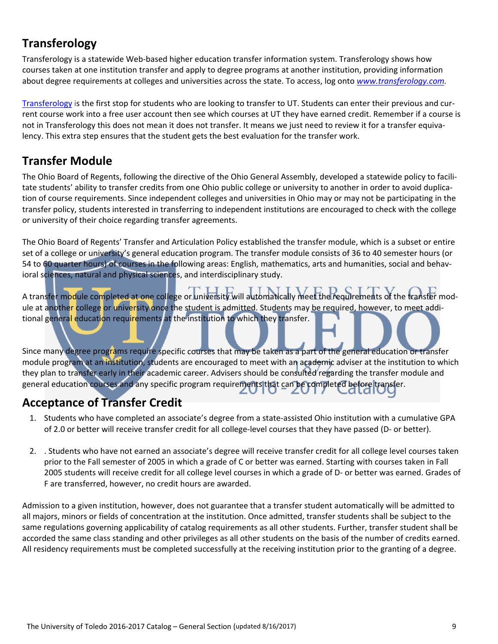## **Transferology**

Transferology is a statewide Web‐based higher education transfer information system. Transferology shows how courses taken at one institution transfer and apply to degree programs at another institution, providing information about degree requirements at colleges and universities across the state. To access, log onto *www.transferology.com.*

Transferology is the first stop for students who are looking to transfer to UT. Students can enter their previous and cur‐ rent course work into a free user account then see which courses at UT they have earned credit. Remember if a course is not in Transferology this does not mean it does not transfer. It means we just need to review it for a transfer equivalency. This extra step ensures that the student gets the best evaluation for the transfer work.

#### **Transfer Module**

The Ohio Board of Regents, following the directive of the Ohio General Assembly, developed a statewide policy to facili‐ tate students' ability to transfer credits from one Ohio public college or university to another in order to avoid duplication of course requirements. Since independent colleges and universities in Ohio may or may not be participating in the transfer policy, students interested in transferring to independent institutions are encouraged to check with the college or university of their choice regarding transfer agreements.

The Ohio Board of Regents' Transfer and Articulation Policy established the transfer module, which is a subset or entire set of a college or university's general education program. The transfer module consists of 36 to 40 semester hours (or 54 to 60 quarter hours) of courses in the following areas: English, mathematics, arts and humanities, social and behavioral sciences, natural and physical sciences, and interdisciplinary study.

A transfer module completed at one college or university will automatically meet the requirements of the transfer module at another college or university once the student is admitted. Students may be required, however, to meet additional general education requirements at the institution to which they transfer.

Since many degree programs require specific courses that may be taken as a part of the general education or transfer module program at an institution, students are encouraged to meet with an academic adviser at the institution to which they plan to transfer early in their academic career. Advisers should be consulted regarding the transfer module and general education courses and any specific program requirements that can be completed before transfer.

### **Acceptance of Transfer Credit**

- 1. Students who have completed an associate's degree from a state‐assisted Ohio institution with a cumulative GPA of 2.0 or better will receive transfer credit for all college-level courses that they have passed (D- or better).
- 2. . Students who have not earned an associate's degree will receive transfer credit for all college level courses taken prior to the Fall semester of 2005 in which a grade of C or better was earned. Starting with courses taken in Fall 2005 students will receive credit for all college level courses in which a grade of D‐ or better was earned. Grades of F are transferred, however, no credit hours are awarded.

Admission to a given institution, however, does not guarantee that a transfer student automatically will be admitted to all majors, minors or fields of concentration at the institution. Once admitted, transfer students shall be subject to the same regulations governing applicability of catalog requirements as all other students. Further, transfer student shall be accorded the same class standing and other privileges as all other students on the basis of the number of credits earned. All residency requirements must be completed successfully at the receiving institution prior to the granting of a degree.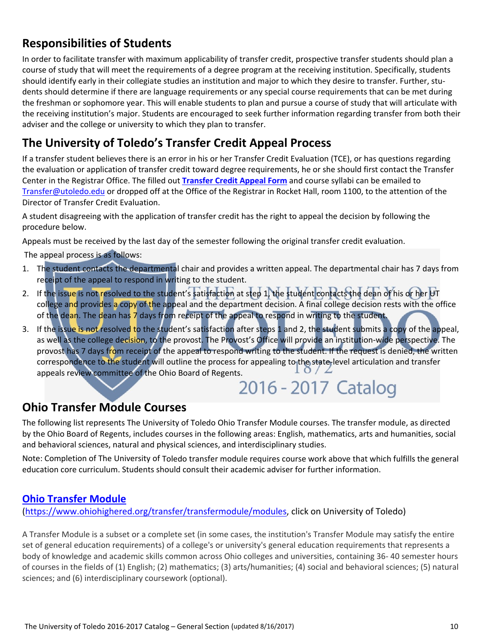## **Responsibilities of Students**

In order to facilitate transfer with maximum applicability of transfer credit, prospective transfer students should plan a course of study that will meet the requirements of a degree program at the receiving institution. Specifically, students should identify early in their collegiate studies an institution and major to which they desire to transfer. Further, students should determine if there are language requirements or any special course requirements that can be met during the freshman or sophomore year. This will enable students to plan and pursue a course of study that will articulate with the receiving institution's major. Students are encouraged to seek further information regarding transfer from both their adviser and the college or university to which they plan to transfer.

## **The University of Toledo's Transfer Credit Appeal Process**

If a transfer student believes there is an error in his or her Transfer Credit Evaluation (TCE), or has questions regarding the evaluation or application of transfer credit toward degree requirements, he or she should first contact the Transfer Center in the Registrar Office. The filled out **Transfer Credit Appeal Form** and course syllabi can be emailed to Transfer@utoledo.edu or dropped off at the Office of the Registrar in Rocket Hall, room 1100, to the attention of the Director of Transfer Credit Evaluation.

A student disagreeing with the application of transfer credit has the right to appeal the decision by following the procedure below.

Appeals must be received by the last day of the semester following the original transfer credit evaluation.

The appeal process is as follows:

- 1. The student contacts the departmental chair and provides a written appeal. The departmental chair has 7 days from receipt of the appeal to respond in writing to the student.
- 2. If the issue is not resolved to the student's satisfaction at step 1, the student contacts the dean of his or her UT college and provides a copy of the appeal and the department decision. A final college decision rests with the office of the dean. The dean has 7 days from receipt of the appeal to respond in writing to the student.
- 3. If the issue is not resolved to the student's satisfaction after steps 1 and 2, the student submits a copy of the appeal, as well as the college decision, to the provost. The Provost's Office will provide an institution-wide perspective. The provost has 7 days from receipt of the appeal to respond writing to the student. If the request is denied, the written correspondence to the student will outline the process for appealing to the state-level articulation and transfer appeals review committee of the Ohio Board of Regents.  $2016 - 2017$  Catalog

### **Ohio Transfer Module Courses**

The following list represents The University of Toledo Ohio Transfer Module courses. The transfer module, as directed by the Ohio Board of Regents, includes courses in the following areas: English, mathematics, arts and humanities, social and behavioral sciences, natural and physical sciences, and interdisciplinary studies.

Note: Completion of The University of Toledo transfer module requires course work above that which fulfills the general education core curriculum. Students should consult their academic adviser for further information.

#### **Ohio Transfer Module**

(https://www.ohiohighered.org/transfer/transfermodule/modules, click on University of Toledo)

A Transfer Module is a subset or a complete set (in some cases, the institution's Transfer Module may satisfy the entire set of general education requirements) of a college's or university's general education requirements that represents a body of knowledge and academic skills common across Ohio colleges and universities, containing 36‐ 40 semester hours of courses in the fields of (1) English; (2) mathematics; (3) arts/humanities; (4) social and behavioral sciences; (5) natural sciences; and (6) interdisciplinary coursework (optional).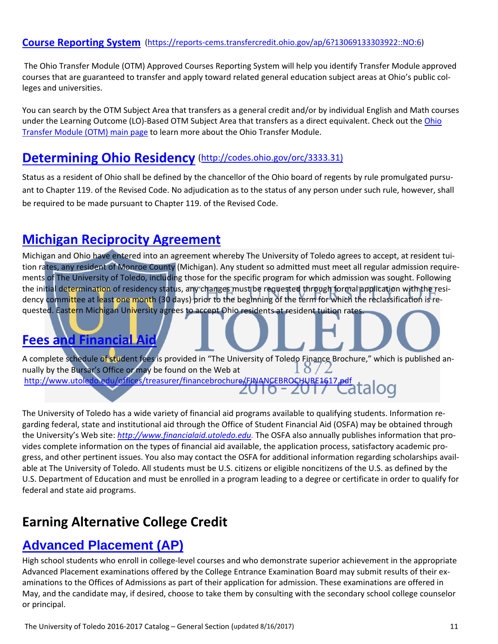#### **Course Reporting System** (https://reports‐cems.transfercredit.ohio.gov/ap/6?13069133303922::NO:6)

The Ohio Transfer Module (OTM) Approved Courses Reporting System will help you identify Transfer Module approved courses that are guaranteed to transfer and apply toward related general education subject areas at Ohio's public col‐ leges and universities.

You can search by the OTM Subject Area that transfers as a general credit and/or by individual English and Math courses under the Learning Outcome (LO)-Based OTM Subject Area that transfers as a direct equivalent. Check out the Ohio Transfer Module (OTM) main page to learn more about the Ohio Transfer Module.

#### **Determining Ohio Residency** (http://codes.ohio.gov/orc/3333.31)

Status as a resident of Ohio shall be defined by the chancellor of the Ohio board of regents by rule promulgated pursu‐ ant to Chapter 119. of the Revised Code. No adjudication as to the status of any person under such rule, however, shall be required to be made pursuant to Chapter 119. of the Revised Code.

### **Michigan Reciprocity Agreement**

Michigan and Ohio have entered into an agreement whereby The University of Toledo agrees to accept, at resident tui‐ tion rates, any resident of Monroe County (Michigan). Any student so admitted must meet all regular admission require‐ ments of The University of Toledo, including those for the specific program for which admission was sought. Following the initial determination of residency status, any changes must be requested through formal application with the residency committee at least one month (30 days) prior to the beginning of the term for which the reclassification is requested. Eastern Michigan University agrees to accept Ohio residents at resident tuition rates.

### **Fees and Financial Aid**

A complete schedule of student fees is provided in "The University of Toledo Finance Brochure," which is published annually by the Bursar's Office or may be found on the Web at  $\delta$ http://www.utoledo.edu/offices/treasurer/financebrochure/FINANCEBROCHURE1617.pdf<br>2000 - 2012 - Callaloo

The University of Toledo has a wide variety of financial aid programs available to qualifying students. Information re‐ garding federal, state and institutional aid through the Office of Student Financial Aid (OSFA) may be obtained through the University's Web site: *http://www.financialaid.utoledo.edu.* The OSFA also annually publishes information that pro‐ vides complete information on the types of financial aid available, the application process, satisfactory academic pro‐ gress, and other pertinent issues. You also may contact the OSFA for additional information regarding scholarships avail‐ able at The University of Toledo. All students must be U.S. citizens or eligible noncitizens of the U.S. as defined by the U.S. Department of Education and must be enrolled in a program leading to a degree or certificate in order to qualify for federal and state aid programs.

# **Earning Alternative College Credit**

### **Advanced Placement (AP)**

High school students who enroll in college-level courses and who demonstrate superior achievement in the appropriate Advanced Placement examinations offered by the College Entrance Examination Board may submit results of their ex‐ aminations to the Offices of Admissions as part of their application for admission. These examinations are offered in May, and the candidate may, if desired, choose to take them by consulting with the secondary school college counselor or principal.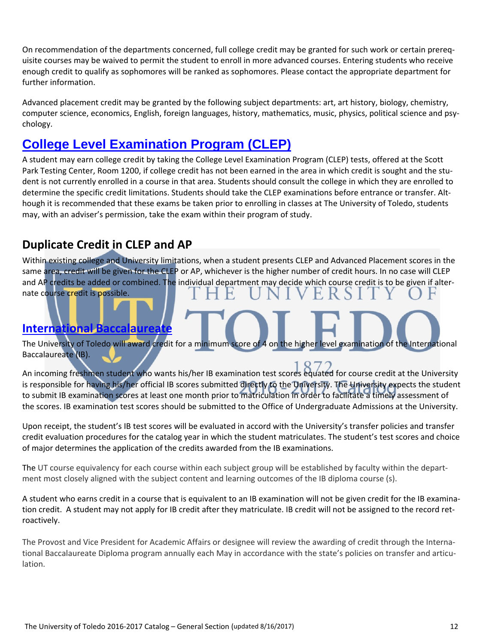On recommendation of the departments concerned, full college credit may be granted for such work or certain prereq‐ uisite courses may be waived to permit the student to enroll in more advanced courses. Entering students who receive enough credit to qualify as sophomores will be ranked as sophomores. Please contact the appropriate department for further information.

Advanced placement credit may be granted by the following subject departments: art, art history, biology, chemistry, computer science, economics, English, foreign languages, history, mathematics, music, physics, political science and psy‐ chology.

## **College Level Examination Program (CLEP)**

A student may earn college credit by taking the College Level Examination Program (CLEP) tests, offered at the Scott Park Testing Center, Room 1200, if college credit has not been earned in the area in which credit is sought and the student is not currently enrolled in a course in that area. Students should consult the college in which they are enrolled to determine the specific credit limitations. Students should take the CLEP examinations before entrance or transfer. Although it is recommended that these exams be taken prior to enrolling in classes at The University of Toledo, students may, with an adviser's permission, take the exam within their program of study.

## **Duplicate Credit in CLEP and AP**

Within existing college and University limitations, when a student presents CLEP and Advanced Placement scores in the same area, credit will be given for the CLEP or AP, whichever is the higher number of credit hours. In no case will CLEP and AP credits be added or combined. The individual department may decide which course credit is to be given if alternate course credit is possible.

#### **International Baccalaureate**

The University of Toledo will award credit for a minimum score of 4 on the higher level examination of the International Baccalaureate (IB).

An incoming freshmen student who wants his/her IB examination test scores equated for course credit at the University is responsible for having his/her official IB scores submitted directly to the University. The University expects the student to submit IB examination scores at least one month prior to matriculation in order to facilitate a timely assessment of the scores. IB examination test scores should be submitted to the Office of Undergraduate Admissions at the University.

Upon receipt, the student's IB test scores will be evaluated in accord with the University's transfer policies and transfer credit evaluation procedures for the catalog year in which the student matriculates. The student's test scores and choice of major determines the application of the credits awarded from the IB examinations.

The UT course equivalency for each course within each subject group will be established by faculty within the department most closely aligned with the subject content and learning outcomes of the IB diploma course (s).

A student who earns credit in a course that is equivalent to an IB examination will not be given credit for the IB examina‐ tion credit. A student may not apply for IB credit after they matriculate. IB credit will not be assigned to the record retroactively.

The Provost and Vice President for Academic Affairs or designee will review the awarding of credit through the Interna‐ tional Baccalaureate Diploma program annually each May in accordance with the state's policies on transfer and articulation.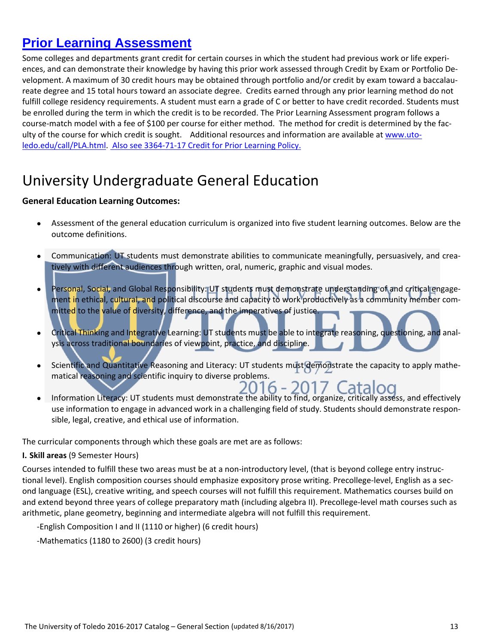# **Prior Learning Assessment**

Some colleges and departments grant credit for certain courses in which the student had previous work or life experi‐ ences, and can demonstrate their knowledge by having this prior work assessed through Credit by Exam or Portfolio De‐ velopment. A maximum of 30 credit hours may be obtained through portfolio and/or credit by exam toward a baccalaureate degree and 15 total hours toward an associate degree. Credits earned through any prior learning method do not fulfill college residency requirements. A student must earn a grade of C or better to have credit recorded. Students must be enrolled during the term in which the credit is to be recorded. The Prior Learning Assessment program follows a course-match model with a fee of \$100 per course for either method. The method for credit is determined by the faculty of the course for which credit is sought. Additional resources and information are available at www.utoledo.edu/call/PLA.html. Also see 3364‐71‐17 Credit for Prior Learning Policy.

# University Undergraduate General Education

#### **General Education Learning Outcomes:**

- Assessment of the general education curriculum is organized into five student learning outcomes. Below are the outcome definitions.
- Communication: UT students must demonstrate abilities to communicate meaningfully, persuasively, and crea‐ tively with different audiences through written, oral, numeric, graphic and visual modes.
- Personal, Social, and Global Responsibility: UT students must demonstrate understanding of and critical engagement in ethical, cultural, and political discourse and capacity to work productively as a community member committed to the value of diversity, difference, and the imperatives of justice.
- Critical Thinking and Integrative Learning: UT students must be able to integrate reasoning, questioning, and analysis across traditional boundaries of viewpoint, practice, and discipline.
- Scientific and Quantitative Reasoning and Literacy: UT students must demonstrate the capacity to apply mathematical reasoning and scientific inquiry to diverse problems.<br>2016 - 2017 Catalog
- Information Literacy: UT students must demonstrate the ability to find, organize, critically assess, and effectively use information to engage in advanced work in a challenging field of study. Students should demonstrate respon‐ sible, legal, creative, and ethical use of information.

The curricular components through which these goals are met are as follows:

#### **I. Skill areas** (9 Semester Hours)

Courses intended to fulfill these two areas must be at a non‐introductory level, (that is beyond college entry instruc‐ tional level). English composition courses should emphasize expository prose writing. Precollege-level, English as a second language (ESL), creative writing, and speech courses will not fulfill this requirement. Mathematics courses build on and extend beyond three years of college preparatory math (including algebra II). Precollege-level math courses such as arithmetic, plane geometry, beginning and intermediate algebra will not fulfill this requirement.

```
  ‐English Composition I and II (1110 or higher) (6 credit hours)
```

```
  ‐Mathematics (1180 to 2600) (3 credit hours)
```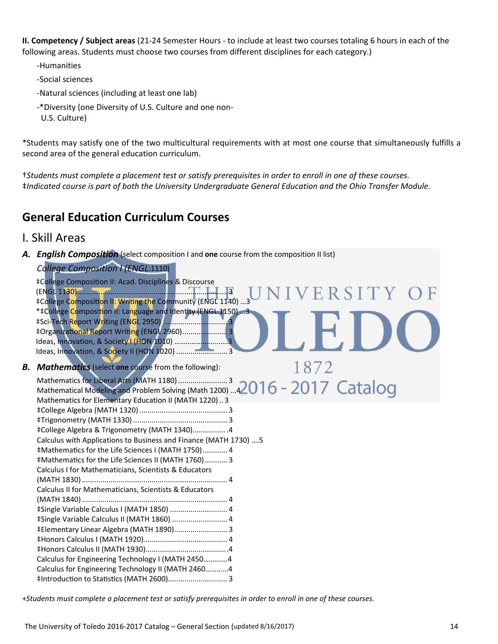**II. Competency / Subject areas** (21‐24 Semester Hours ‐ to include at least two courses totaling 6 hours in each of the following areas. Students must choose two courses from different disciplines for each category.)

- ‐Humanities
- ‐Social sciences
- ‐Natural sciences (including at least one lab)
- ‐\*Diversity (one Diversity of U.S. Culture and one non‐
- U.S. Culture)

\*Students may satisfy one of the two multicultural requirements with at most one course that simultaneously fulfills a second area of the general education curriculum.

+Students must complete a placement test or satisfy prerequisites in order to enroll in one of these courses. ‡*Indicated course is part of both the University Undergraduate General Education and the Ohio Transfer Module.*

### **General Education Curriculum Courses**

#### I. Skill Areas

*A. English Composition* (select composition I and **one** course from the composition II list)

|    | College Composition I (ENGL:1110)                                                                                                                                                                                                                                                                                                                                                                                                                                                                                                                                                                                                                                                                                                      |
|----|----------------------------------------------------------------------------------------------------------------------------------------------------------------------------------------------------------------------------------------------------------------------------------------------------------------------------------------------------------------------------------------------------------------------------------------------------------------------------------------------------------------------------------------------------------------------------------------------------------------------------------------------------------------------------------------------------------------------------------------|
|    | ‡College Composition II: Acad. Disciplines & Discourse<br>$R\,S\,I\,T\,Y$<br>‡College Composition II: Writing the Community (ENGL 1140) 3<br>*‡College Composition II: Language and Identity (ENGL 1150) 3<br>#Organizational Report Writing (ENGL 2960) 3<br>Ideas, Innovation, & Society I (HON 1010) 3<br>Ideas, Innovation, & Society II (HON 1020)  3                                                                                                                                                                                                                                                                                                                                                                             |
| В. | 1872<br><b>Mathematics</b> (select one course from the following):                                                                                                                                                                                                                                                                                                                                                                                                                                                                                                                                                                                                                                                                     |
|    | Mathematics for Liberal Arts (MATH 1180) 3<br>Mathematical Modeling and Problem Solving (Math 1200) 42016 - 2017 Catalog<br>Mathematics for Elementary Education II (MATH 1220)3<br>#College Algebra & Trigonometry (MATH 1340) . 4<br>Calculus with Applications to Business and Finance (MATH 1730)  5<br>#Mathematics for the Life Sciences I (MATH 1750) 4<br>#Mathematics for the Life Sciences II (MATH 1760) 3<br>Calculus I for Mathematicians, Scientists & Educators<br>Calculus II for Mathematicians, Scientists & Educators<br>#Single Variable Calculus I (MATH 1850)  4<br>#Single Variable Calculus II (MATH 1860)  4<br>#Elementary Linear Algebra (MATH 1890) 3<br>Calculus for Engineering Technology I (MATH 24504 |
|    | Calculus for Engineering Technology II (MATH 24604<br>#Introduction to Statistics (MATH 2600) 3                                                                                                                                                                                                                                                                                                                                                                                                                                                                                                                                                                                                                                        |
|    |                                                                                                                                                                                                                                                                                                                                                                                                                                                                                                                                                                                                                                                                                                                                        |

+Students must complete a placement test or satisfy prerequisites in order to enroll in one of these courses.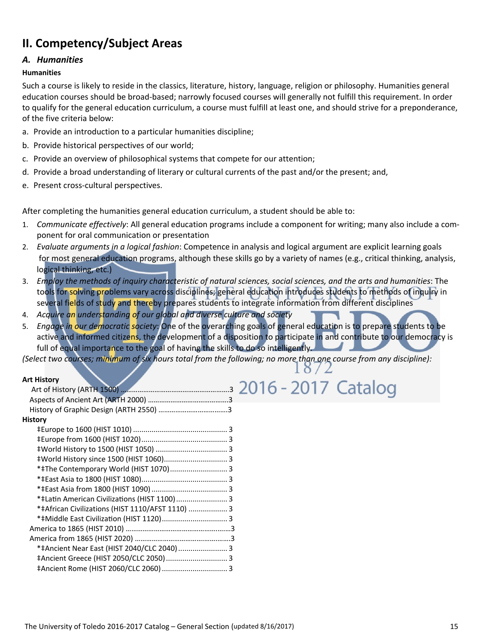## **II. Competency/Subject Areas**

#### *A. Humanities*

#### **Humanities**

Such a course is likely to reside in the classics, literature, history, language, religion or philosophy. Humanities general education courses should be broad‐based; narrowly focused courses will generally not fulfill this requirement. In order to qualify for the general education curriculum, a course must fulfill at least one, and should strive for a preponderance, of the five criteria below:

- a. Provide an introduction to a particular humanities discipline;
- b. Provide historical perspectives of our world;
- c. Provide an overview of philosophical systems that compete for our attention;
- d. Provide a broad understanding of literary or cultural currents of the past and/or the present; and,
- e. Present cross-cultural perspectives.

After completing the humanities general education curriculum, a student should be able to:

- 1. *Communicate effectively*: All general education programs include a component for writing; many also include a com‐ ponent for oral communication or presentation
- 2. *Evaluate arguments in a logical fashion*: Competence in analysis and logical argument are explicit learning goals for most general education programs, although these skills go by a variety of names (e.g., critical thinking, analysis, logical thinking, etc.)
- 3. Employ the methods of inquiry characteristic of natural sciences, social sciences, and the arts and humanities: The tools for solving problems vary across disciplines; general education introduces students to methods of inquiry in several fields of study and thereby prepares students to integrate information from different disciplines
- 4. *Acquire an understanding of our global and diverse culture and society*
- 5. *Engage in our democratic society*: One of the overarching goals of general education is to prepare students to be active and informed citizens, the development of a disposition to participate in and contribute to our democracy is full of equal importance to the goal of having the skills to do so intelligently.

2016 - 2017 Catalog

(Select two courses; minimum of six hours total from the following; no more than one course from any discipline):

#### **Art History**

| <b>History</b>                                   |  |
|--------------------------------------------------|--|
|                                                  |  |
|                                                  |  |
|                                                  |  |
| #World History since 1500 (HIST 1060) 3          |  |
| *#The Contemporary World (HIST 1070) 3           |  |
|                                                  |  |
|                                                  |  |
| * ‡Latin American Civilizations (HIST 1100)  3   |  |
| *‡African Civilizations (HIST 1110/AFST 1110)  3 |  |
| *#Middle East Civilization (HIST 1120) 3         |  |
|                                                  |  |
|                                                  |  |
| *#Ancient Near East (HIST 2040/CLC 2040)  3      |  |
|                                                  |  |
|                                                  |  |
|                                                  |  |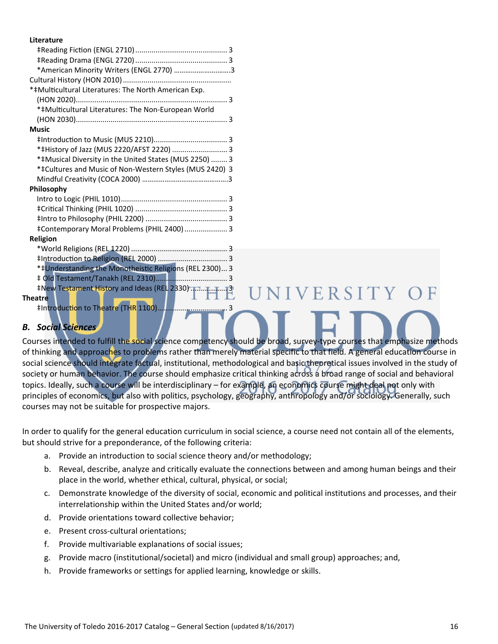#### **Literature**

| *American Minority Writers (ENGL 2770) 3                |  |
|---------------------------------------------------------|--|
|                                                         |  |
| *‡Multicultural Literatures: The North American Exp.    |  |
|                                                         |  |
| *‡Multicultural Literatures: The Non-European World     |  |
|                                                         |  |
| <b>Music</b>                                            |  |
|                                                         |  |
| *#History of Jazz (MUS 2220/AFST 2220)  3               |  |
| *‡Musical Diversity in the United States (MUS 2250)  3  |  |
| *‡Cultures and Music of Non-Western Styles (MUS 2420) 3 |  |
|                                                         |  |
| Philosophy                                              |  |
|                                                         |  |
|                                                         |  |
|                                                         |  |
| #Contemporary Moral Problems (PHIL 2400)  3             |  |
| <b>Religion</b>                                         |  |
|                                                         |  |
|                                                         |  |
| *‡Understanding the Monotheistic Religions (REL 2300) 3 |  |
|                                                         |  |
|                                                         |  |
| $\Box$<br><b>Theatre</b>                                |  |
|                                                         |  |
|                                                         |  |

#### *B. Social Sciences*

Courses intended to fulfill the social science competency should be broad, survey-type courses that emphasize methods of thinking and approaches to problems rather than merely material specific to that field. A general education course in social science should integrate factual, institutional, methodological and basic theoretical issues involved in the study of society or human behavior. The course should emphasize critical thinking across a broad range of social and behavioral topics. Ideally, such a course will be interdisciplinary – for example, an economics course might deal not only with principles of economics, but also with politics, psychology, geography, anthropology and/or sociology. Generally, such courses may not be suitable for prospective majors.

UNIVERSITY OF

In order to qualify for the general education curriculum in social science, a course need not contain all of the elements, but should strive for a preponderance, of the following criteria:

- a. Provide an introduction to social science theory and/or methodology;
- b. Reveal, describe, analyze and critically evaluate the connections between and among human beings and their place in the world, whether ethical, cultural, physical, or social;
- c. Demonstrate knowledge of the diversity of social, economic and political institutions and processes, and their interrelationship within the United States and/or world;
- d. Provide orientations toward collective behavior;
- e. Present cross‐cultural orientations;
- f. Provide multivariable explanations of social issues;
- g. Provide macro (institutional/societal) and micro (individual and small group) approaches; and,
- h. Provide frameworks or settings for applied learning, knowledge or skills.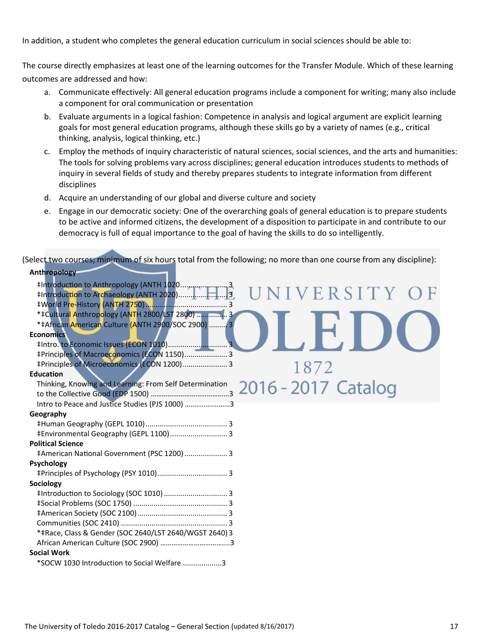In addition, a student who completes the general education curriculum in social sciences should be able to:

The course directly emphasizes at least one of the learning outcomes for the Transfer Module. Which of these learning outcomes are addressed and how:

- a. Communicate effectively: All general education programs include a component for writing; many also include a component for oral communication or presentation
- b. Evaluate arguments in a logical fashion: Competence in analysis and logical argument are explicit learning goals for most general education programs, although these skills go by a variety of names (e.g., critical thinking, analysis, logical thinking, etc.)
- c. Employ the methods of inquiry characteristic of natural sciences, social sciences, and the arts and humanities: The tools for solving problems vary across disciplines; general education introduces students to methods of inquiry in several fields of study and thereby prepares students to integrate information from different disciplines
- d. Acquire an understanding of our global and diverse culture and society
- e. Engage in our democratic society: One of the overarching goals of general education is to prepare students to be active and informed citizens, the development of a disposition to participate in and contribute to our democracy is full of equal importance to the goal of having the skills to do so intelligently.

(Select two courses; minimum of six hours total from the following; no more than one course from any discipline): **Anthropology**

| <b>AIIUII UPUIUKY</b>                                                          |
|--------------------------------------------------------------------------------|
|                                                                                |
| IVERSITY                                                                       |
|                                                                                |
| * ‡Cultural Anthropology (ANTH 2800/LST 2800)  3                               |
| *‡African American Culture (ANTH 2900/SOC 2900)  3                             |
| <b>Economics</b>                                                               |
|                                                                                |
| #Principles of Macroeconomics (ECON 1150) 3                                    |
| ‡Principles of Microeconomics (ECON 1200) 3<br>1872                            |
| <b>Education</b>                                                               |
| Thinking, Knowing and Learning: From Self Determination<br>2016 - 2017 Catalog |
|                                                                                |
| Intro to Peace and Justice Studies (PJS 1000) 3                                |
| Geography                                                                      |
|                                                                                |
| #Environmental Geography (GEPL 1100) 3                                         |
| <b>Political Science</b>                                                       |
| #American National Government (PSC 1200)  3                                    |
| <b>Psychology</b>                                                              |
|                                                                                |
| Sociology                                                                      |
|                                                                                |
|                                                                                |
|                                                                                |
|                                                                                |
| *‡Race, Class & Gender (SOC 2640/LST 2640/WGST 2640) 3                         |
|                                                                                |
| <b>Social Work</b>                                                             |
| *SOCW 1030 Introduction to Social Welfare 3                                    |
|                                                                                |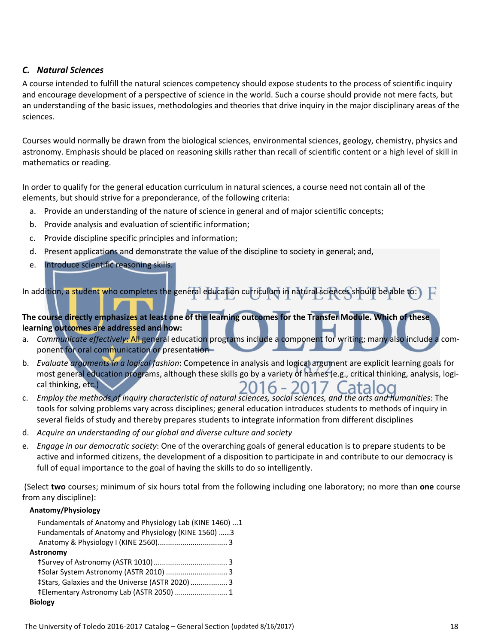#### *C. Natural Sciences*

A course intended to fulfill the natural sciences competency should expose students to the process of scientific inquiry and encourage development of a perspective of science in the world. Such a course should provide not mere facts, but an understanding of the basic issues, methodologies and theories that drive inquiry in the major disciplinary areas of the sciences.

Courses would normally be drawn from the biological sciences, environmental sciences, geology, chemistry, physics and astronomy. Emphasis should be placed on reasoning skills rather than recall of scientific content or a high level of skill in mathematics or reading.

In order to qualify for the general education curriculum in natural sciences, a course need not contain all of the elements, but should strive for a preponderance, of the following criteria:

- a. Provide an understanding of the nature of science in general and of major scientific concepts;
- b. Provide analysis and evaluation of scientific information;
- c. Provide discipline specific principles and information;
- d. Present applications and demonstrate the value of the discipline to society in general; and,
- e. Introduce scientific reasoning skills.

In addition, a student who completes the general education curriculum in natural sciences should be able to:  $\Box$ 

The course directly emphasizes at least one of the learning outcomes for the Transfer Module. Which of these **learning outcomes are addressed and how:**

- a. *Communicate effectively*: All general education programs include a component for writing; many also include a com‐ ponent for oral communication or presentation
- b. *Evaluate arguments in a logical fashion*: Competence in analysis and logical argument are explicit learning goals for most general education programs, although these skills go by a variety of names (e.g., critical thinking, analysis, logi‐ cal thinking, etc.) 2016 - 2017 Catalog
- c. Employ the methods of inquiry characteristic of natural sciences, social sciences, and the arts and humanities: The tools for solving problems vary across disciplines; general education introduces students to methods of inquiry in several fields of study and thereby prepares students to integrate information from different disciplines
- d. *Acquire an understanding of our global and diverse culture and society*
- e. *Engage in our democratic society*: One of the overarching goals of general education is to prepare students to be active and informed citizens, the development of a disposition to participate in and contribute to our democracy is full of equal importance to the goal of having the skills to do so intelligently.

(Select **two** courses; minimum of six hours total from the following including one laboratory; no more than **one** course from any discipline):

#### **Anatomy/Physiology**

| Fundamentals of Anatomy and Physiology Lab (KINE 1460)  1 |  |
|-----------------------------------------------------------|--|
| Fundamentals of Anatomy and Physiology (KINE 1560) 3      |  |
|                                                           |  |
| <b>Astronomy</b>                                          |  |
|                                                           |  |
| #Solar System Astronomy (ASTR 2010)  3                    |  |
| ‡Stars, Galaxies and the Universe (ASTR 2020) 3           |  |
| #Elementary Astronomy Lab (ASTR 2050) 1                   |  |
| <b>Biology</b>                                            |  |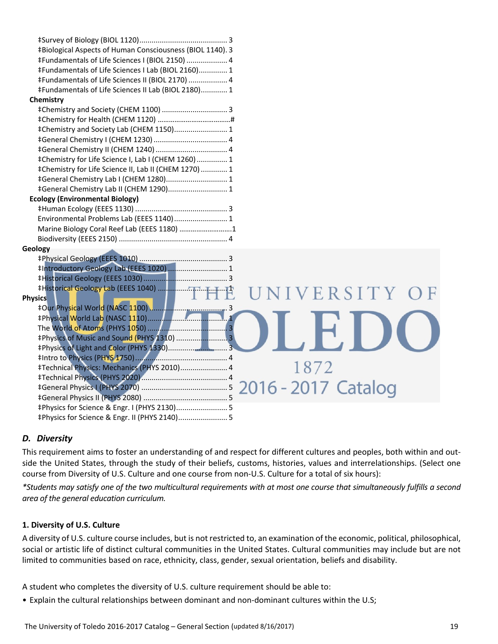| ‡Biological Aspects of Human Consciousness (BIOL 1140). 3 |  |
|-----------------------------------------------------------|--|
| #Fundamentals of Life Sciences I (BIOL 2150)  4           |  |
| #Fundamentals of Life Sciences I Lab (BIOL 2160) 1        |  |
| #Fundamentals of Life Sciences II (BIOL 2170)  4          |  |
| #Fundamentals of Life Sciences II Lab (BIOL 2180) 1       |  |
| Chemistry                                                 |  |
|                                                           |  |
|                                                           |  |
| #Chemistry and Society Lab (CHEM 1150) 1                  |  |
|                                                           |  |
|                                                           |  |
| ‡Chemistry for Life Science I, Lab I (CHEM 1260)  1       |  |
| #Chemistry for Life Science II, Lab II (CHEM 1270)  1     |  |
| #General Chemistry Lab I (CHEM 1280) 1                    |  |
| #General Chemistry Lab II (CHEM 1290) 1                   |  |
| <b>Ecology (Environmental Biology)</b>                    |  |
|                                                           |  |
| Environmental Problems Lab (EEES 1140) 1                  |  |
| Marine Biology Coral Reef Lab (EEES 1180) 1               |  |
|                                                           |  |
| Geology                                                   |  |
|                                                           |  |
| #Introductory Geology Lab (EEES 1020)  1                  |  |
|                                                           |  |
| UNIVERSITY OF                                             |  |
| <b>Physics</b>                                            |  |
|                                                           |  |
|                                                           |  |
|                                                           |  |
| #Physics of Music and Sound (PHYS 1310)  3                |  |
|                                                           |  |
|                                                           |  |
| 1872<br>#Technical Physics: Mechanics (PHYS 2010) 4       |  |
|                                                           |  |
| 2016 - 2017 Catalog                                       |  |
|                                                           |  |
| #Physics for Science & Engr. I (PHYS 2130) 5              |  |
| #Physics for Science & Engr. II (PHYS 2140) 5             |  |

#### *D. Diversity*

This requirement aims to foster an understanding of and respect for different cultures and peoples, both within and out‐ side the United States, through the study of their beliefs, customs, histories, values and interrelationships. (Select one course from Diversity of U.S. Culture and one course from non‐U.S. Culture for a total of six hours):

\*Students may satisfy one of the two multicultural requirements with at most one course that simultaneously fulfills a second *area of the general education curriculum.* 

#### **1. Diversity of U.S. Culture**

A diversity of U.S. culture course includes, but is not restricted to, an examination of the economic, political, philosophical, social or artistic life of distinct cultural communities in the United States. Cultural communities may include but are not limited to communities based on race, ethnicity, class, gender, sexual orientation, beliefs and disability.

A student who completes the diversity of U.S. culture requirement should be able to:

• Explain the cultural relationships between dominant and non‐dominant cultures within the U.S;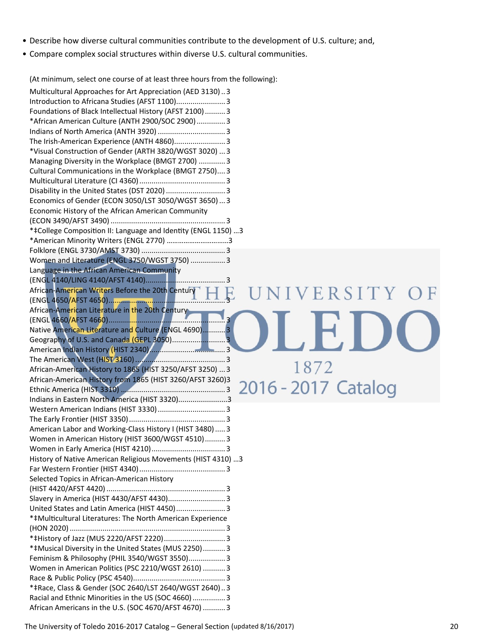- Describe how diverse cultural communities contribute to the development of U.S. culture; and,
- Compare complex social structures within diverse U.S. cultural communities.

(At minimum, select one course of at least three hours from the following):

| Multicultural Approaches for Art Appreciation (AED 3130)3                                                     |
|---------------------------------------------------------------------------------------------------------------|
| Introduction to Africana Studies (AFST 1100) 3                                                                |
| Foundations of Black Intellectual History (AFST 2100) 3                                                       |
| *African American Culture (ANTH 2900/SOC 2900)  3                                                             |
|                                                                                                               |
| The Irish-American Experience (ANTH 4860) 3                                                                   |
| *Visual Construction of Gender (ARTH 3820/WGST 3020)  3                                                       |
| Managing Diversity in the Workplace (BMGT 2700)  3                                                            |
| Cultural Communications in the Workplace (BMGT 2750) 3                                                        |
|                                                                                                               |
|                                                                                                               |
| Economics of Gender (ECON 3050/LST 3050/WGST 3650)  3                                                         |
|                                                                                                               |
| Economic History of the African American Community                                                            |
|                                                                                                               |
| *‡College Composition II: Language and Identity (ENGL 1150) 3                                                 |
| *American Minority Writers (ENGL 2770) 3                                                                      |
|                                                                                                               |
| Women and Literature (ENGL 3750/WGST 3750)  3                                                                 |
| Language in the African American Community                                                                    |
|                                                                                                               |
| African-American Writers Before the 20th Century<br>ERSITY                                                    |
|                                                                                                               |
| African-American Literature in the 20th Century                                                               |
|                                                                                                               |
| Native American Literature and Culture (ENGL 4690)3                                                           |
| Geography of U.S. and Canada (GEPL 3050)3                                                                     |
|                                                                                                               |
|                                                                                                               |
| 1872<br>African-American History to 1865 (HIST 3250/AFST 3250)  3                                             |
| African-American History from 1865 (HIST 3260/AFST 3260)3                                                     |
| 2016 - 2017 Catalog                                                                                           |
| Indians in Eastern North America (HIST 3320)3                                                                 |
|                                                                                                               |
|                                                                                                               |
|                                                                                                               |
|                                                                                                               |
| American Labor and Working-Class History I (HIST 3480)  3                                                     |
| Women in American History (HIST 3600/WGST 4510) 3                                                             |
|                                                                                                               |
| History of Native American Religious Movements (HIST 4310)  3                                                 |
|                                                                                                               |
| Selected Topics in African-American History                                                                   |
|                                                                                                               |
|                                                                                                               |
| United States and Latin America (HIST 4450) 3                                                                 |
| *‡Multicultural Literatures: The North American Experience                                                    |
|                                                                                                               |
|                                                                                                               |
| *#Musical Diversity in the United States (MUS 2250)3                                                          |
| Feminism & Philosophy (PHIL 3540/WGST 3550) 3                                                                 |
| Women in American Politics (PSC 2210/WGST 2610)  3                                                            |
|                                                                                                               |
| *‡Race, Class & Gender (SOC 2640/LST 2640/WGST 2640)3                                                         |
| Racial and Ethnic Minorities in the US (SOC 4660)  3<br>African Americans in the U.S. (SOC 4670/AFST 4670)  3 |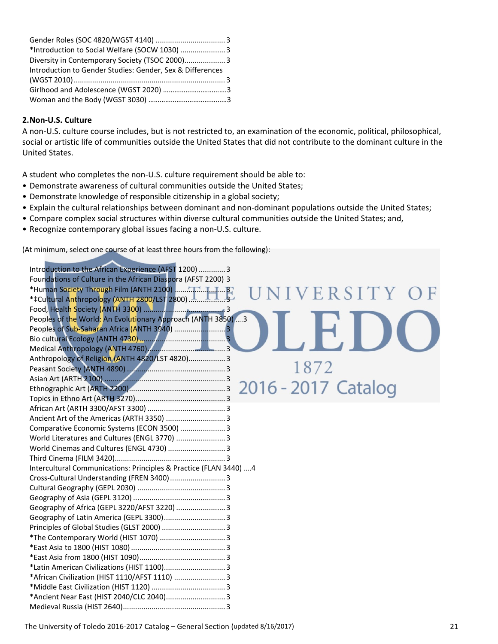| *Introduction to Social Welfare (SOCW 1030)  3            |  |
|-----------------------------------------------------------|--|
| Diversity in Contemporary Society (TSOC 2000) 3           |  |
| Introduction to Gender Studies: Gender, Sex & Differences |  |
|                                                           |  |
|                                                           |  |
|                                                           |  |

#### **2.Non‐U.S. Culture**

A non‐U.S. culture course includes, but is not restricted to, an examination of the economic, political, philosophical, social or artistic life of communities outside the United States that did not contribute to the dominant culture in the United States.

A student who completes the non‐U.S. culture requirement should be able to:

- Demonstrate awareness of cultural communities outside the United States;
- Demonstrate knowledge of responsible citizenship in a global society;
- Explain the cultural relationships between dominant and non‐dominant populations outside the United States;
- Compare complex social structures within diverse cultural communities outside the United States; and,
- Recognize contemporary global issues facing a non‐U.S. culture.

(At minimum, select one course of at least three hours from the following):

| Introduction to the African Experience (AFST 1200)  3              |
|--------------------------------------------------------------------|
| Foundations of Culture in the African Diaspora (AFST 2200) 3       |
| ERSITY                                                             |
|                                                                    |
|                                                                    |
| Peoples of the World: An Evolutionary Approach (ANTH 3850)  3      |
| Peoples of Sub-Saharan Africa (ANTH 3940) 3                        |
|                                                                    |
|                                                                    |
| Anthropology of Religion (ANTH 4820/LST 4820) 3                    |
| 1872                                                               |
|                                                                    |
| 2016 - 2017 Catalog                                                |
|                                                                    |
|                                                                    |
| Ancient Art of the Americas (ARTH 3350)  3                         |
| Comparative Economic Systems (ECON 3500)  3                        |
| World Literatures and Cultures (ENGL 3770)  3                      |
| World Cinemas and Cultures (ENGL 4730)  3                          |
|                                                                    |
| Intercultural Communications: Principles & Practice (FLAN 3440)  4 |
| Cross-Cultural Understanding (FREN 3400)  3                        |
|                                                                    |
|                                                                    |
| Geography of Africa (GEPL 3220/AFST 3220)  3                       |
| Geography of Latin America (GEPL 3300) 3                           |
|                                                                    |
|                                                                    |
|                                                                    |
|                                                                    |
|                                                                    |
| *African Civilization (HIST 1110/AFST 1110)  3                     |
|                                                                    |
| *Ancient Near East (HIST 2040/CLC 2040) 3                          |
|                                                                    |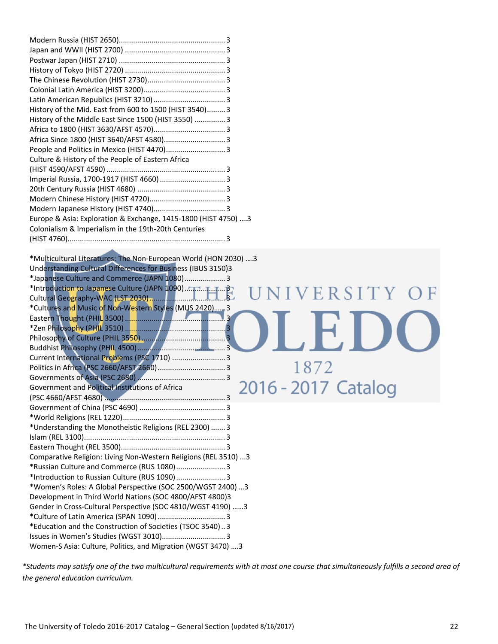| History of the Mid. East from 600 to 1500 (HIST 3540) 3        |  |
|----------------------------------------------------------------|--|
| History of the Middle East Since 1500 (HIST 3550)  3           |  |
|                                                                |  |
| Africa Since 1800 (HIST 3640/AFST 4580) 3                      |  |
| People and Politics in Mexico (HIST 4470) 3                    |  |
| Culture & History of the People of Eastern Africa              |  |
|                                                                |  |
|                                                                |  |
|                                                                |  |
|                                                                |  |
|                                                                |  |
| Europe & Asia: Exploration & Exchange, 1415-1800 (HIST 4750) 3 |  |
| Colonialism & Imperialism in the 19th-20th Centuries           |  |
|                                                                |  |

\*Multicultural Literatures: The Non‐European World (HON 2030) ….3 Understanding Cultural Differences for Business (IBUS 3150)3 \*Japanese Culture and Commerce (JAPN 1080)....................3 \*Introduction to Japanese Culture (JAPN 1090)....................3 NIVERSITY OF Cultural Geography‐WAC (LST 2030)..................................... 3 \*Cultures and Music of Non‐Western Styles (MUS 2420).....3 Eastern Thought (PHIL 3500)................................................. 3 \*Zen Philosophy (PHIL 3510) ................................................. 3 Philosophy of Culture (PHIL 3550)......................................... 3 Buddhist Philosophy (PHIL 4500)........................................... 3 Current International Problems (PSC 1710) ..........................3 Politics in Africa (PSC 2660/AFST 2660).................................3 Governments of Asia (PSC 2680) ........................................... 3 2016 - 2017 Catalog Government and Political Institutions of Africa (PSC 4660/AFST 4680) ........................................................... 3 Government of China (PSC 4690) .......................................... 3 \*World Religions (REL 1220).................................................. 3 \*Understanding the Monotheistic Religions (REL 2300) .......3 Islam (REL 3100)..................................................................... 3 Eastern Thought (REL 3500)................................................... 3 Comparative Religion: Living Non‐Western Religions (REL 3510) ...3 \*Russian Culture and Commerce (RUS 1080)........................3 \*Introduction to Russian Culture (RUS 1090)........................3 \*Women's Roles: A Global Perspective (SOC 2500/WGST 2400) …3 Development in Third World Nations (SOC 4800/AFST 4800)3 Gender in Cross‐Cultural Perspective (SOC 4810/WGST 4190) ……3 \*Culture of Latin America (SPAN 1090).................................3 \*Education and the Construction of Societies (TSOC 3540)..3 Issues in Women's Studies (WGST 3010)...............................3 Women‐S Asia: Culture, Politics, and Migration (WGST 3470) ….3

\*Students may satisfy one of the two multicultural requirements with at most one course that simultaneously fulfills a second area of *the general education curriculum.*

1872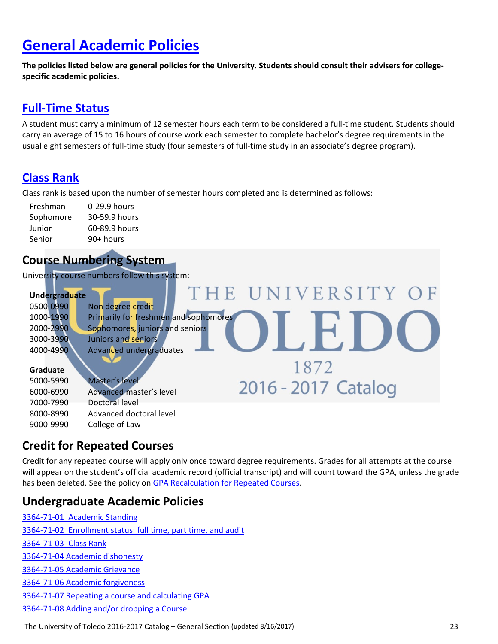# **General Academic Policies**

The policies listed below are general policies for the University. Students should consult their advisers for college**specific academic policies.**

#### **Full‐Time Status**

A student must carry a minimum of 12 semester hours each term to be considered a full‐time student. Students should carry an average of 15 to 16 hours of course work each semester to complete bachelor's degree requirements in the usual eight semesters of full‐time study (four semesters of full‐time study in an associate's degree program).

## **Class Rank**

Class rank is based upon the number of semester hours completed and is determined as follows:

| Freshman  | 0-29.9 hours  |
|-----------|---------------|
| Sophomore | 30-59.9 hours |
| Junior    | 60-89.9 hours |
| Senior    | 90+ hours     |

### **Course Numbering System**

University course numbers follow this system:

| <b>Undergraduate</b> |                                       | THE UNIVERSITY OF   |  |
|----------------------|---------------------------------------|---------------------|--|
| 0500-0990            | Non degree credit                     |                     |  |
| 1000-1990            | Primarily for freshmen and sophomores |                     |  |
| 2000-2990            | Sophomores, juniors and seniors       |                     |  |
| 3000-3990            | Juniors and seniors                   |                     |  |
| 4000-4990            | Advanced undergraduates               |                     |  |
| Graduate             |                                       | 1872                |  |
| 5000-5990            | Master's level                        |                     |  |
| 6000-6990            | Advanced master's level               | 2016 - 2017 Catalog |  |
| 7000-7990            | Doctoral level                        |                     |  |
| 8000-8990            | Advanced doctoral level               |                     |  |
| 9000-9990            | College of Law                        |                     |  |

#### **Credit for Repeated Courses**

Credit for any repeated course will apply only once toward degree requirements. Grades for all attempts at the course will appear on the student's official academic record (official transcript) and will count toward the GPA, unless the grade has been deleted. See the policy on GPA Recalculation for Repeated Courses.

#### **Undergraduate Academic Policies**

‐71‐01\_Academic Standing 3364-71-02 Enrollment status: full time, part time, and audit ‐71‐03\_Class Rank ‐71‐04 Academic dishonesty ‐71‐05 Academic Grievance ‐71‐06 Academic forgiveness ‐71‐07 Repeating a course and calculating GPA ‐71‐08 Adding and/or dropping a Course

The University of Toledo 2016‐2017 Catalog – General Section (updated 8/16/2017) 23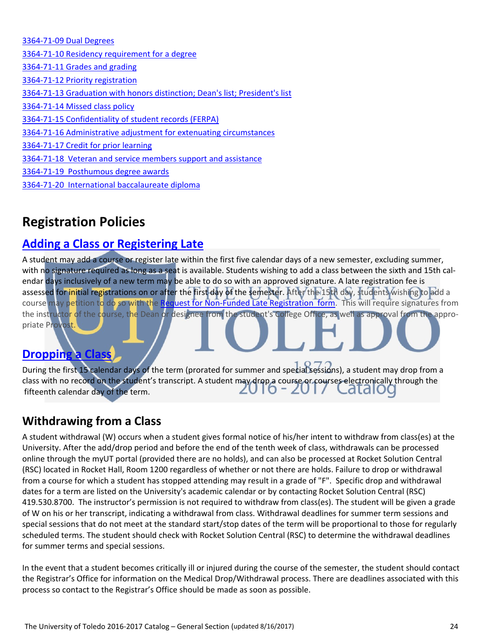‐71‐09 Dual Degrees ‐71‐10 Residency requirement for a degree ‐71‐11 Grades and grading ‐71‐12 Priority registration 3364-71-13 Graduation with honors distinction; Dean's list; President's list ‐71‐14 Missed class policy ‐71‐15 Confidentiality of student records (FERPA) ‐71‐16 Administrative adjustment for extenuating circumstances ‐71‐17 Credit for prior learning ‐71‐18 Veteran and service members support and assistance ‐71‐19 Posthumous degree awards ‐71‐20 International baccalaureate diploma

# **Registration Policies**

## **Adding a Class or Registering Late**

A student may add a course or register late within the first five calendar days of a new semester, excluding summer, with no signature required as long as a seat is available. Students wishing to add a class between the sixth and 15th calendar days inclusively of a new term may be able to do so with an approved signature. A late registration fee is assessed for initial registrations on or after the first day of the semester. After the 15th day, students wishing to add a course may petition to do so with the Request for Non-Funded Late Registration form. This will require signatures from the instructor of the course, the Dean or designee from the student's College Office, as well as approval from the appropriate Provost.

# **Dropping a Class**

During the first 15 calendar days of the term (prorated for summer and special sessions), a student may drop from a class with no record on the student's transcript. A student may drop a course or courses electronically through the Ldidil fifteenth calendar day of the term.

# **Withdrawing from a Class**

A student withdrawal (W) occurs when a student gives formal notice of his/her intent to withdraw from class(es) at the University. After the add/drop period and before the end of the tenth week of class, withdrawals can be processed online through the myUT portal (provided there are no holds), and can also be processed at Rocket Solution Central (RSC) located in Rocket Hall, Room 1200 regardless of whether or not there are holds. Failure to drop or withdrawal from a course for which a student has stopped attending may result in a grade of "F". Specific drop and withdrawal dates for a term are listed on the University's academic calendar or by contacting Rocket Solution Central (RSC) 419.530.8700. The instructor's permission is not required to withdraw from class(es). The student will be given a grade of W on his or her transcript, indicating a withdrawal from class. Withdrawal deadlines for summer term sessions and special sessions that do not meet at the standard start/stop dates of the term will be proportional to those for regularly scheduled terms. The student should check with Rocket Solution Central (RSC) to determine the withdrawal deadlines for summer terms and special sessions.

In the event that a student becomes critically ill or injured during the course of the semester, the student should contact the Registrar's Office for information on the Medical Drop/Withdrawal process. There are deadlines associated with this process so contact to the Registrar's Office should be made as soon as possible.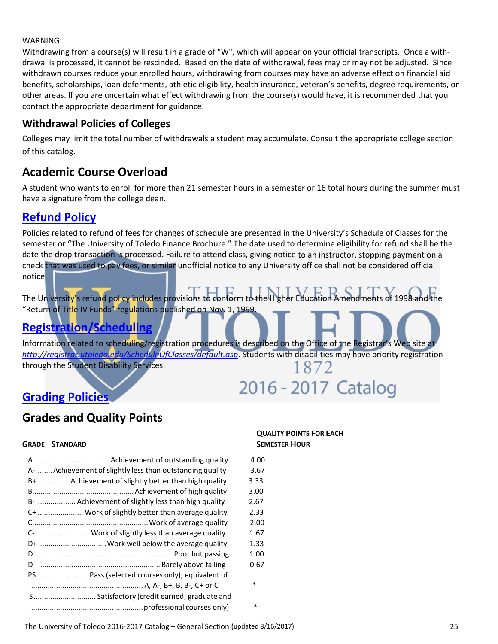#### WARNING:

Withdrawing from a course(s) will result in a grade of "W", which will appear on your official transcripts. Once a with‐ drawal is processed, it cannot be rescinded. Based on the date of withdrawal, fees may or may not be adjusted. Since withdrawn courses reduce your enrolled hours, withdrawing from courses may have an adverse effect on financial aid benefits, scholarships, loan deferments, athletic eligibility, health insurance, veteran's benefits, degree requirements, or other areas. If you are uncertain what effect withdrawing from the course(s) would have, it is recommended that you contact the appropriate department for guidance.

#### **Withdrawal Policies of Colleges**

Colleges may limit the total number of withdrawals a student may accumulate. Consult the appropriate college section of this catalog.

#### **Academic Course Overload**

A student who wants to enroll for more than 21 semester hours in a semester or 16 total hours during the summer must have a signature from the college dean.

#### **Refund Policy**

Policies related to refund of fees for changes of schedule are presented in the University's Schedule of Classes for the semester or "The University of Toledo Finance Brochure." The date used to determine eligibility for refund shall be the date the drop transaction is processed. Failure to attend class, giving notice to an instructor, stopping payment on a check that was used to pay fees, or similar unofficial notice to any University office shall not be considered official notice.

The University's refund policy includes provisions to conform to the Higher Education Amendments of 1998 and the "Return of Title IV Funds" regulations published on Nov. 1, 1999.

### **Registration/Scheduling**

Information related to scheduling/registration procedures is described on the Office of the Registrar's Web site at *http://registrar.utoledo.edu/ScheduleOfClasses/default.asp*. Students with disabilities may have priority registration through the Student Disability Services. 1872

# 2016 - 2017 Catalog

#### **Grading Policies**

#### **Grades and Quality Points**

#### **GRADE STANDARD SEMESTER HOUR**

|                                                           | 4.00   |
|-----------------------------------------------------------|--------|
| A-  Achievement of slightly less than outstanding quality | 3.67   |
| B+  Achievement of slightly better than high quality      | 3.33   |
|                                                           | 3.00   |
| B-  Achievement of slightly less than high quality        | 2.67   |
| C+  Work of slightly better than average quality          | 2.33   |
|                                                           | 2.00   |
| C-  Work of slightly less than average quality            | 1.67   |
| D+  Work well below the average quality                   | 1.33   |
|                                                           | 1.00   |
|                                                           | 0.67   |
| PS Pass (selected courses only); equivalent of            |        |
|                                                           | $\ast$ |
| S Satisfactory (credit earned; graduate and               |        |
|                                                           | *      |
|                                                           |        |

# **QUALITY POINTS FOR EACH**

- 
- 
- 
- 
- 
- 
- 
- 
- 
- 
-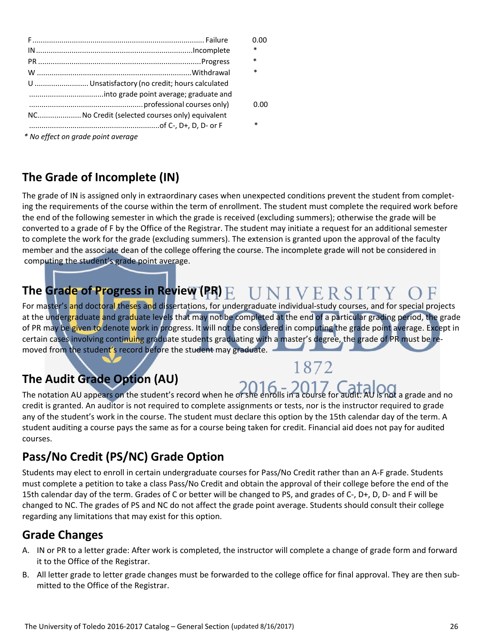|                                                | 0.00   |
|------------------------------------------------|--------|
|                                                | $\ast$ |
|                                                | $\ast$ |
|                                                | $\ast$ |
| U  Unsatisfactory (no credit; hours calculated |        |
|                                                |        |
|                                                | 0.00   |
| NCNo Credit (selected courses only) equivalent |        |
|                                                | $\ast$ |
| * No effect on grade point average             |        |

**The Grade of Incomplete (IN)**

The grade of IN is assigned only in extraordinary cases when unexpected conditions prevent the student from completing the requirements of the course within the term of enrollment. The student must complete the required work before the end of the following semester in which the grade is received (excluding summers); otherwise the grade will be converted to a grade of F by the Office of the Registrar. The student may initiate a request for an additional semester to complete the work for the grade (excluding summers). The extension is granted upon the approval of the faculty member and the associate dean of the college offering the course. The incomplete grade will not be considered in computing the student's grade point average.

# **The Grade of Progress in Review (PR)**

For master's and doctoral theses and dissertations, for undergraduate individual-study courses, and for special projects at the undergraduate and graduate levels that may not be completed at the end of a particular grading period, the grade of PR may be given to denote work in progress. It will not be considered in computing the grade point average. Except in certain cases involving continuing graduate students graduating with a master's degree, the grade of PR must be removed from the student's record before the student may graduate.

# **The Audit Grade Option (AU)**

1872

The notation AU appears on the student's record when he or she enrolls in a course for audit. AU is not a grade and no credit is granted. An auditor is not required to complete assignments or tests, nor is the instructor required to grade any of the student's work in the course. The student must declare this option by the 15th calendar day of the term. A student auditing a course pays the same as for a course being taken for credit. Financial aid does not pay for audited courses.

# **Pass/No Credit (PS/NC) Grade Option**

Students may elect to enroll in certain undergraduate courses for Pass/No Credit rather than an A‐F grade. Students must complete a petition to take a class Pass/No Credit and obtain the approval of their college before the end of the 15th calendar day of the term. Grades of C or better will be changed to PS, and grades of C-, D+, D, D- and F will be changed to NC. The grades of PS and NC do not affect the grade point average. Students should consult their college regarding any limitations that may exist for this option.

## **Grade Changes**

- A. IN or PR to a letter grade: After work is completed, the instructor will complete a change of grade form and forward it to the Office of the Registrar.
- B. All letter grade to letter grade changes must be forwarded to the college office for final approval. They are then sub‐ mitted to the Office of the Registrar.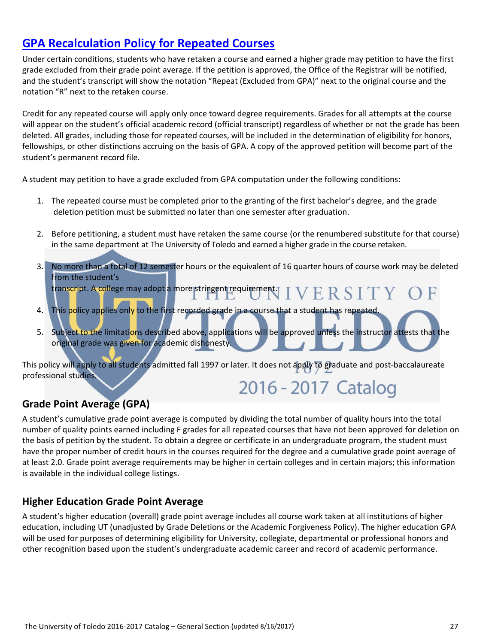## **GPA Recalculation Policy for Repeated Courses**

Under certain conditions, students who have retaken a course and earned a higher grade may petition to have the first grade excluded from their grade point average. If the petition is approved, the Office of the Registrar will be notified, and the student's transcript will show the notation "Repeat (Excluded from GPA)" next to the original course and the notation "R" next to the retaken course.

Credit for any repeated course will apply only once toward degree requirements. Grades for all attempts at the course will appear on the student's official academic record (official transcript) regardless of whether or not the grade has been deleted. All grades, including those for repeated courses, will be included in the determination of eligibility for honors, fellowships, or other distinctions accruing on the basis of GPA. A copy of the approved petition will become part of the student's permanent record file.

A student may petition to have a grade excluded from GPA computation under the following conditions:

- 1. The repeated course must be completed prior to the granting of the first bachelor's degree, and the grade deletion petition must be submitted no later than one semester after graduation.
- 2. Before petitioning, a student must have retaken the same course (or the renumbered substitute for that course) in the same department at The University of Toledo and earned a higher grade in the course retaken.
- 3. No more than a total of 12 semester hours or the equivalent of 16 quarter hours of course work may be deleted from the student's transcript. A college may adopt a more stringent requirement. T VERSITY
- 4. This policy applies only to the first recorded grade in a course that a student has repeated.
- 5. Subject to the limitations described above, applications will be approved unless the instructor attests that the original grade was given for academic dishonesty.

This policy will apply to all students admitted fall 1997 or later. It does not apply to graduate and post-baccalaureate professional studies.

# 2016 - 2017 Catalog

#### **Grade Point Average (GPA)**

A student's cumulative grade point average is computed by dividing the total number of quality hours into the total number of quality points earned including F grades for all repeated courses that have not been approved for deletion on the basis of petition by the student. To obtain a degree or certificate in an undergraduate program, the student must have the proper number of credit hours in the courses required for the degree and a cumulative grade point average of at least 2.0. Grade point average requirements may be higher in certain colleges and in certain majors; this information is available in the individual college listings.

#### **Higher Education Grade Point Average**

A student's higher education (overall) grade point average includes all course work taken at all institutions of higher education, including UT (unadjusted by Grade Deletions or the Academic Forgiveness Policy). The higher education GPA will be used for purposes of determining eligibility for University, collegiate, departmental or professional honors and other recognition based upon the student's undergraduate academic career and record of academic performance.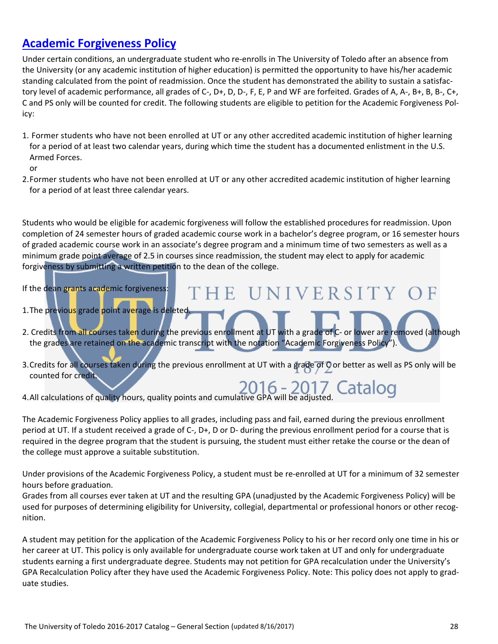#### **Academic Forgiveness Policy**

Under certain conditions, an undergraduate student who re‐enrolls in The University of Toledo after an absence from the University (or any academic institution of higher education) is permitted the opportunity to have his/her academic standing calculated from the point of readmission. Once the student has demonstrated the ability to sustain a satisfac‐ tory level of academic performance, all grades of C‐, D+, D, D‐, F, E, P and WF are forfeited. Grades of A, A‐, B+, B, B‐, C+, C and PS only will be counted for credit. The following students are eligible to petition for the Academic Forgiveness Pol‐ icy:

1. Former students who have not been enrolled at UT or any other accredited academic institution of higher learning for a period of at least two calendar years, during which time the student has a documented enlistment in the U.S. Armed Forces.

or

2.Former students who have not been enrolled at UT or any other accredited academic institution of higher learning for a period of at least three calendar years.

Students who would be eligible for academic forgiveness will follow the established procedures for readmission. Upon completion of 24 semester hours of graded academic course work in a bachelor's degree program, or 16 semester hours of graded academic course work in an associate's degree program and a minimum time of two semesters as well as a minimum grade point average of 2.5 in courses since readmission, the student may elect to apply for academic forgiveness by submitting a written petition to the dean of the college.

If the dean grants academic forgiveness:

- 1. The previous grade point average is deleted.
- 2. Credits from all courses taken during the previous enrollment at UT with a grade of C- or lower are removed (although the grades are retained on the academic transcript with the notation "Academic Forgiveness Policy").
- 3. Credits for all courses taken during the previous enrollment at UT with a grade of O or better as well as PS only will be counted for credit.

2016 - 2017 Catalog

THE UNIVERSITY OF

4.All calculations of quality hours, quality points and cumulative GPA will be adjusted.

The Academic Forgiveness Policy applies to all grades, including pass and fail, earned during the previous enrollment period at UT. If a student received a grade of C‐, D+, D or D‐ during the previous enrollment period for a course that is required in the degree program that the student is pursuing, the student must either retake the course or the dean of the college must approve a suitable substitution.

Under provisions of the Academic Forgiveness Policy, a student must be re‐enrolled at UT for a minimum of 32 semester hours before graduation.

Grades from all courses ever taken at UT and the resulting GPA (unadjusted by the Academic Forgiveness Policy) will be used for purposes of determining eligibility for University, collegial, departmental or professional honors or other recognition.

A student may petition for the application of the Academic Forgiveness Policy to his or her record only one time in his or her career at UT. This policy is only available for undergraduate course work taken at UT and only for undergraduate students earning a first undergraduate degree. Students may not petition for GPA recalculation under the University's GPA Recalculation Policy after they have used the Academic Forgiveness Policy. Note: This policy does not apply to grad‐ uate studies.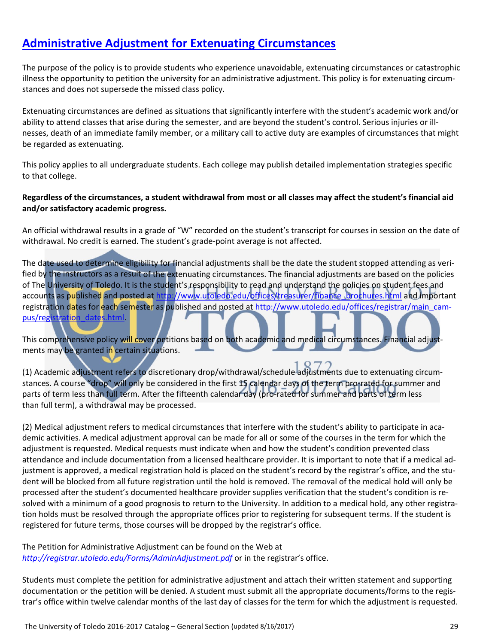#### **Administrative Adjustment for Extenuating Circumstances**

The purpose of the policy is to provide students who experience unavoidable, extenuating circumstances or catastrophic illness the opportunity to petition the university for an administrative adjustment. This policy is for extenuating circumstances and does not supersede the missed class policy.

Extenuating circumstances are defined as situations that significantly interfere with the student's academic work and/or ability to attend classes that arise during the semester, and are beyond the student's control. Serious injuries or illnesses, death of an immediate family member, or a military call to active duty are examples of circumstances that might be regarded as extenuating.

This policy applies to all undergraduate students. Each college may publish detailed implementation strategies specific to that college.

#### Regardless of the circumstances, a student withdrawal from most or all classes may affect the student's financial aid **and/or satisfactory academic progress.**

An official withdrawal results in a grade of "W" recorded on the student's transcript for courses in session on the date of withdrawal. No credit is earned. The student's grade‐point average is not affected.

The date used to determine eligibility for financial adjustments shall be the date the student stopped attending as veri‐ fied by the instructors as a result of the extenuating circumstances. The financial adjustments are based on the policies of The University of Toledo. It is the student's responsibility to read and understand the policies on student fees and accounts as published and posted at http://www.utoledo.edu/offices/treasurer/finance\_brochures.html and important registration dates for each semester as published and posted at http://www.utoledo.edu/offices/registrar/main\_campus/registration\_dates.html.

This comprehensive policy will cover petitions based on both academic and medical circumstances. Financial adjustments may be granted in certain situations.

(1) Academic adjustment refers to discretionary drop/withdrawal/schedule adjustments due to extenuating circum‐ stances. A course "drop" will only be considered in the first 15 calendar days of the term pro-rated for summer and parts of term less than full term. After the fifteenth calendar day (pro-rated for summer and parts of term less than full term), a withdrawal may be processed.

(2) Medical adjustment refers to medical circumstances that interfere with the student's ability to participate in aca‐ demic activities. A medical adjustment approval can be made for all or some of the courses in the term for which the adjustment is requested. Medical requests must indicate when and how the student's condition prevented class attendance and include documentation from a licensed healthcare provider. It is important to note that if a medical ad‐ justment is approved, a medical registration hold is placed on the student's record by the registrar's office, and the student will be blocked from all future registration until the hold is removed. The removal of the medical hold will only be processed after the student's documented healthcare provider supplies verification that the student's condition is re‐ solved with a minimum of a good prognosis to return to the University. In addition to a medical hold, any other registration holds must be resolved through the appropriate offices prior to registering for subsequent terms. If the student is registered for future terms, those courses will be dropped by the registrar's office.

The Petition for Administrative Adjustment can be found on the Web at *http://registrar.utoledo.edu/Forms/AdminAdjustment.pdf* or in the registrar's office.

Students must complete the petition for administrative adjustment and attach their written statement and supporting documentation or the petition will be denied. A student must submit all the appropriate documents/forms to the registrar's office within twelve calendar months of the last day of classes for the term for which the adjustment is requested.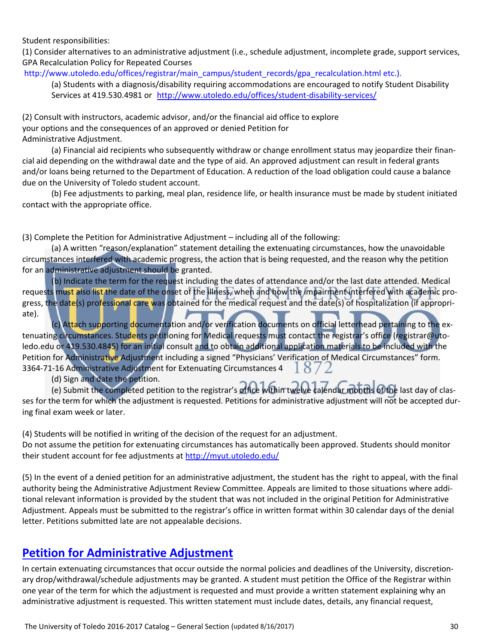#### Student responsibilities:

(1) Consider alternatives to an administrative adjustment (i.e., schedule adjustment, incomplete grade, support services, GPA Recalculation Policy for Repeated Courses

http://www.utoledo.edu/offices/registrar/main\_campus/student\_records/gpa\_recalculation.html etc.).

(a) Students with a diagnosis/disability requiring accommodations are encouraged to notify Student Disability Services at 419.530.4981 or http://www.utoledo.edu/offices/student‐disability‐services/

(2) Consult with instructors, academic advisor, and/or the financial aid office to explore your options and the consequences of an approved or denied Petition for Administrative Adjustment.

(a) Financial aid recipients who subsequently withdraw or change enrollment status may jeopardize their finan‐ cial aid depending on the withdrawal date and the type of aid. An approved adjustment can result in federal grants and/or loans being returned to the Department of Education. A reduction of the load obligation could cause a balance due on the University of Toledo student account.

(b) Fee adjustments to parking, meal plan, residence life, or health insurance must be made by student initiated contact with the appropriate office.

(3) Complete the Petition for Administrative Adjustment – including all of the following:

(a) A written "reason/explanation" statement detailing the extenuating circumstances, how the unavoidable circumstances interfered with academic progress, the action that is being requested, and the reason why the petition for an administrative adjustment should be granted.

(b) Indicate the term for the request including the dates of attendance and/or the last date attended. Medical requests must also list the date of the onset of the illness, when and how the impairment interfered with academic progress, the date(s) professional care was obtained for the medical request and the date(s) of hospitalization (if appropriate).

(c) Attach supporting documentation and/or verification documents on official letterhead pertaining to the ex‐ tenuating circumstances. Students petitioning for Medical requests must contact the registrar's office (registrar@utoledo.edu or 419.530.4845) for an initial consult and to obtain additional application materials to be included with the Petition for Administrative Adjustment including a signed "Physicians' Verification of Medical Circumstances" form. 3364‐71‐16 Administrative Adjustment for Extenuating Circumstances 4  $18/2$ 

(d) Sign and date the petition.

(e) Submit the completed petition to the registrar's office within twelve calendar months of the last day of clas‐ ses for the term for which the adjustment is requested. Petitions for administrative adjustment will not be accepted during final exam week or later.

(4) Students will be notified in writing of the decision of the request for an adjustment. Do not assume the petition for extenuating circumstances has automatically been approved. Students should monitor their student account for fee adjustments at http://myut.utoledo.edu/

(5) In the event of a denied petition for an administrative adjustment, the student has the right to appeal, with the final authority being the Administrative Adjustment Review Committee. Appeals are limited to those situations where addi‐ tional relevant information is provided by the student that was not included in the original Petition for Administrative Adjustment. Appeals must be submitted to the registrar's office in written format within 30 calendar days of the denial letter. Petitions submitted late are not appealable decisions.

#### **Petition for Administrative Adjustment**

In certain extenuating circumstances that occur outside the normal policies and deadlines of the University, discretion‐ ary drop/withdrawal/schedule adjustments may be granted. A student must petition the Office of the Registrar within one year of the term for which the adjustment is requested and must provide a written statement explaining why an administrative adjustment is requested. This written statement must include dates, details, any financial request,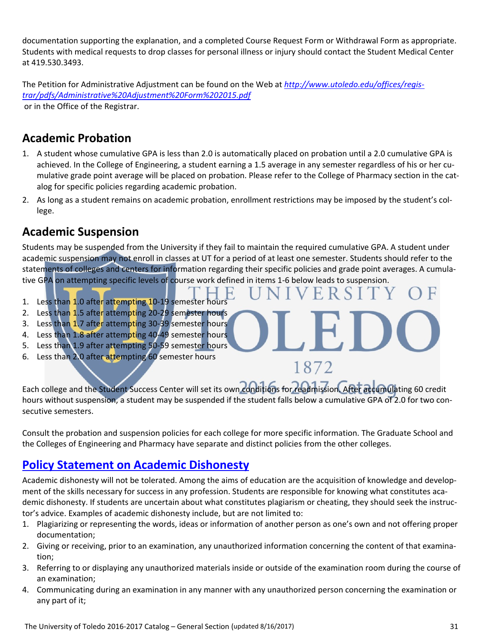documentation supporting the explanation, and a completed Course Request Form or Withdrawal Form as appropriate. Students with medical requests to drop classes for personal illness or injury should contact the Student Medical Center at 419.530.3493.

The Petition for Administrative Adjustment can be found on the Web at *http://www.utoledo.edu/offices/regis‐ trar/pdfs/Administrative%20Adjustment%20Form%202015.pdf* or in the Office of the Registrar.

### **Academic Probation**

- 1. A student whose cumulative GPA is less than 2.0 is automatically placed on probation until a 2.0 cumulative GPA is achieved. In the College of Engineering, a student earning a 1.5 average in any semester regardless of his or her cumulative grade point average will be placed on probation. Please refer to the College of Pharmacy section in the cat‐ alog for specific policies regarding academic probation.
- 2. As long as a student remains on academic probation, enrollment restrictions may be imposed by the student's college.

#### **Academic Suspension**

Students may be suspended from the University if they fail to maintain the required cumulative GPA. A student under academic suspension may not enroll in classes at UT for a period of at least one semester. Students should refer to the statements of colleges and centers for information regarding their specific policies and grade point averages. A cumulative GPA on attempting specific levels of course work defined in items 1-6 below leads to suspension.

- 1. Less than 1.0 after attempting 10-19 semester hours
- 2. Less than 1.5 after attempting 20-29 semester hours
- 3. Less than 1.7 after attempting 30-39 semester hours
- 4. Less than 1.8 after attempting 40-49 semester hours
- 5. Less than 1.9 after attempting 50-59 semester hours
- 6. Less than 2.0 after attempting 60 semester hours

Each college and the Student Success Center will set its own conditions for readmission. After accumulating 60 credit hours without suspension, a student may be suspended if the student falls below a cumulative GPA of 2.0 for two consecutive semesters.

1872

Consult the probation and suspension policies for each college for more specific information. The Graduate School and the Colleges of Engineering and Pharmacy have separate and distinct policies from the other colleges.

#### **Policy Statement on Academic Dishonesty**

Academic dishonesty will not be tolerated. Among the aims of education are the acquisition of knowledge and develop‐ ment of the skills necessary for success in any profession. Students are responsible for knowing what constitutes academic dishonesty. If students are uncertain about what constitutes plagiarism or cheating, they should seek the instructor's advice. Examples of academic dishonesty include, but are not limited to:

- 1. Plagiarizing or representing the words, ideas or information of another person as one's own and not offering proper documentation;
- 2. Giving or receiving, prior to an examination, any unauthorized information concerning the content of that examination;
- 3. Referring to or displaying any unauthorized materials inside or outside of the examination room during the course of an examination;
- 4. Communicating during an examination in any manner with any unauthorized person concerning the examination or any part of it;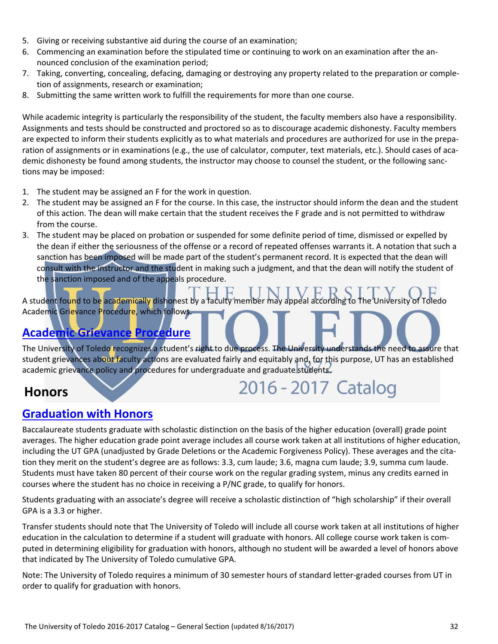- 5. Giving or receiving substantive aid during the course of an examination;
- 6. Commencing an examination before the stipulated time or continuing to work on an examination after the an‐ nounced conclusion of the examination period;
- 7. Taking, converting, concealing, defacing, damaging or destroying any property related to the preparation or comple‐ tion of assignments, research or examination;
- 8. Submitting the same written work to fulfill the requirements for more than one course.

While academic integrity is particularly the responsibility of the student, the faculty members also have a responsibility. Assignments and tests should be constructed and proctored so as to discourage academic dishonesty. Faculty members are expected to inform their students explicitly as to what materials and procedures are authorized for use in the preparation of assignments or in examinations (e.g., the use of calculator, computer, text materials, etc.). Should cases of academic dishonesty be found among students, the instructor may choose to counsel the student, or the following sanc‐ tions may be imposed:

- 1. The student may be assigned an F for the work in question.
- 2. The student may be assigned an F for the course. In this case, the instructor should inform the dean and the student of this action. The dean will make certain that the student receives the F grade and is not permitted to withdraw from the course.
- 3. The student may be placed on probation or suspended for some definite period of time, dismissed or expelled by the dean if either the seriousness of the offense or a record of repeated offenses warrants it. A notation that such a sanction has been imposed will be made part of the student's permanent record. It is expected that the dean will consult with the instructor and the student in making such a judgment, and that the dean will notify the student of the sanction imposed and of the appeals procedure.

A student found to be academically dishonest by a faculty member may appeal according to The University of Toledo Academic Grievance Procedure, which follows.

## **Academic Grievance Procedure**

The University of Toledo recognizes a student's right to due process. The University understands the need to assure that student grievances about faculty actions are evaluated fairly and equitably and, for this purpose, UT has an established academic grievance policy and procedures for undergraduate and graduate students.

## **Honors**

# 2016 - 2017 Catalog

#### **Graduation with Honors**

Baccalaureate students graduate with scholastic distinction on the basis of the higher education (overall) grade point averages. The higher education grade point average includes all course work taken at all institutions of higher education, including the UT GPA (unadjusted by Grade Deletions or the Academic Forgiveness Policy). These averages and the cita‐ tion they merit on the student's degree are as follows: 3.3, cum laude; 3.6, magna cum laude; 3.9, summa cum laude. Students must have taken 80 percent of their course work on the regular grading system, minus any credits earned in courses where the student has no choice in receiving a P/NC grade, to qualify for honors.

Students graduating with an associate's degree will receive a scholastic distinction of "high scholarship" if their overall GPA is a 3.3 or higher.

Transfer students should note that The University of Toledo will include all course work taken at all institutions of higher education in the calculation to determine if a student will graduate with honors. All college course work taken is computed in determining eligibility for graduation with honors, although no student will be awarded a level of honors above that indicated by The University of Toledo cumulative GPA.

Note: The University of Toledo requires a minimum of 30 semester hours of standard letter‐graded courses from UT in order to qualify for graduation with honors.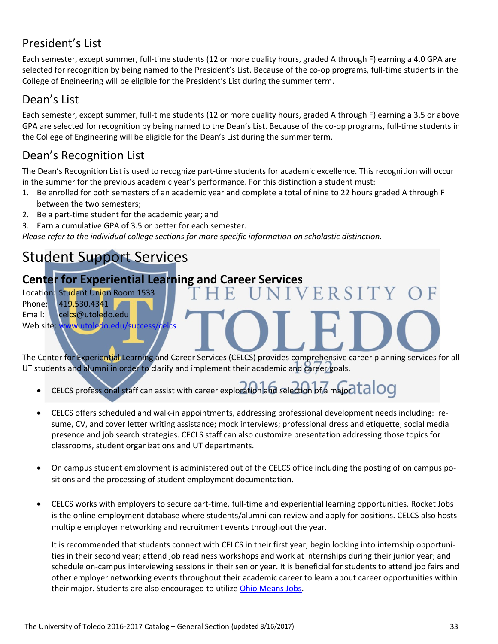# President's List

Each semester, except summer, full‐time students (12 or more quality hours, graded A through F) earning a 4.0 GPA are selected for recognition by being named to the President's List. Because of the co-op programs, full-time students in the College of Engineering will be eligible for the President's List during the summer term.

### Dean's List

Each semester, except summer, full-time students (12 or more quality hours, graded A through F) earning a 3.5 or above GPA are selected for recognition by being named to the Dean's List. Because of the co-op programs, full-time students in the College of Engineering will be eligible for the Dean's List during the summer term.

# Dean's Recognition List

The Dean's Recognition List is used to recognize part‐time students for academic excellence. This recognition will occur in the summer for the previous academic year's performance. For this distinction a student must:

- 1. Be enrolled for both semesters of an academic year and complete a total of nine to 22 hours graded A through F between the two semesters;
- 2. Be a part-time student for the academic year; and

3. Earn a cumulative GPA of 3.5 or better for each semester.

*Please refer to the individual college sections for more specific information on scholastic distinction.*

# Student Support Services

# **Center for Experiential Learning and Career Services**

Location: Student Union Room 1533 Phone: 419.530.4341 Email: celcs@utoledo.edu Web site: www.utoledo.edu/su

The Center for Experiential Learning and Career Services (CELCS) provides comprehensive career planning services for all UT students and alumni in order to clarify and implement their academic and career goals.

ERSITY

- CELCS professional staff can assist with career exploration and selection of a major  $t$ alog
- CELCS offers scheduled and walk-in appointments, addressing professional development needs including: resume, CV, and cover letter writing assistance; mock interviews; professional dress and etiquette; social media presence and job search strategies. CECLS staff can also customize presentation addressing those topics for classrooms, student organizations and UT departments.
- On campus student employment is administered out of the CELCS office including the posting of on campus positions and the processing of student employment documentation.
- CELCS works with employers to secure part-time, full-time and experiential learning opportunities. Rocket Jobs is the online employment database where students/alumni can review and apply for positions. CELCS also hosts multiple employer networking and recruitment events throughout the year.

It is recommended that students connect with CELCS in their first year; begin looking into internship opportunities in their second year; attend job readiness workshops and work at internships during their junior year; and schedule on-campus interviewing sessions in their senior year. It is beneficial for students to attend job fairs and other employer networking events throughout their academic career to learn about career opportunities within their major. Students are also encouraged to utilize Ohio Means Jobs.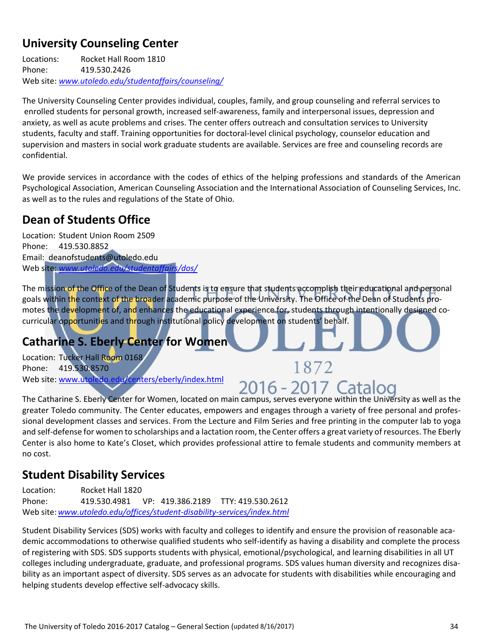## **University Counseling Center**

Locations: Rocket Hall Room 1810 Phone: 419.530.2426 Web site: *www.utoledo.edu/studentaffairs/counseling/*

The University Counseling Center provides individual, couples, family, and group counseling and referral services to enrolled students for personal growth, increased self-awareness, family and interpersonal issues, depression and anxiety, as well as acute problems and crises. The center offers outreach and consultation services to University students, faculty and staff. Training opportunities for doctoral‐level clinical psychology, counselor education and supervision and masters in social work graduate students are available. Services are free and counseling records are confidential.

We provide services in accordance with the codes of ethics of the helping professions and standards of the American Psychological Association, American Counseling Association and the International Association of Counseling Services, Inc. as well as to the rules and regulations of the State of Ohio.

## **Dean of Students Office**

Location: Student Union Room 2509 Phone: 419.530.8852 Email: deanofstudents@utoledo.edu Web site: *www.utoledo.edu/studentaffairs/dos/*

The mission of the Office of the Dean of Students is to ensure that students accomplish their educational and personal goals within the context of the broader academic purpose of the University. The Office of the Dean of Students promotes the development of, and enhances the educational experience for, students through intentionally designed cocurricular opportunities and through institutional policy development on students' behalf.

## **Catharine S. Eberly Center for Women**

Location: Tucker Hall Room 0168 Phone: 419.530.8570 Web site: www.utoledo.edu/centers/eberly/index.html

# 2016 - 2017 Catalog

1872

The Catharine S. Eberly Center for Women, located on main campus, serves everyone within the University as well as the greater Toledo community. The Center educates, empowers and engages through a variety of free personal and profes‐ sional development classes and services. From the Lecture and Film Series and free printing in the computer lab to yoga and self-defense for women to scholarships and a lactation room, the Center offers a great variety of resources. The Eberly Center is also home to Kate's Closet, which provides professional attire to female students and community members at no cost.

## **Student Disability Services**

Location: Rocket Hall 1820 Phone: 419.530.4981 VP: 419.386.2189 TTY: 419.530.2612 Web site:*www.utoledo.edu/offices/student‐disability‐services/index.html*

Student Disability Services (SDS) works with faculty and colleges to identify and ensure the provision of reasonable aca‐ demic accommodations to otherwise qualified students who self-identify as having a disability and complete the process of registering with SDS. SDS supports students with physical, emotional/psychological, and learning disabilities in all UT colleges including undergraduate, graduate, and professional programs. SDS values human diversity and recognizes disa‐ bility as an important aspect of diversity. SDS serves as an advocate for students with disabilities while encouraging and helping students develop effective self-advocacy skills.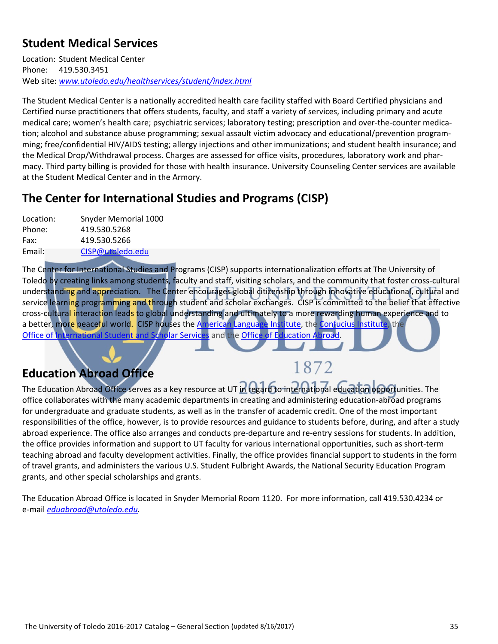## **Student Medical Services**

Location: Student Medical Center Phone: 419.530.3451 Web site: *www.utoledo.edu/healthservices/student/index.html*

The Student Medical Center is a nationally accredited health care facility staffed with Board Certified physicians and Certified nurse practitioners that offers students, faculty, and staff a variety of services, including primary and acute medical care; women's health care; psychiatric services; laboratory testing; prescription and over-the-counter medication; alcohol and substance abuse programming; sexual assault victim advocacy and educational/prevention program‐ ming; free/confidential HIV/AIDS testing; allergy injections and other immunizations; and student health insurance; and the Medical Drop/Withdrawal process. Charges are assessed for office visits, procedures, laboratory work and phar‐ macy. Third party billing is provided for those with health insurance. University Counseling Center services are available at the Student Medical Center and in the Armory.

### **The Center for International Studies and Programs (CISP)**

| Snyder Memorial 1000 |
|----------------------|
| 419.530.5268         |
| 419.530.5266         |
| CISP@utoledo.edu     |
|                      |

The Center for International Studies and Programs (CISP) supports internationalization efforts at The University of Toledo by creating links among students, faculty and staff, visiting scholars, and the community that foster cross‐cultural understanding and appreciation. The Center encourages global citizenship through innovative educational, cultural and service learning programming and through student and scholar exchanges. CISP is committed to the belief that effective cross-cultural interaction leads to global understanding and ultimately to a more rewarding human experience and to a better, more peaceful world. CISP houses the American Language Institute, the Confucius Institute, the Office of International Student and Scholar Services and the Office of Education Abroad.

# **Education Abroad Office**

# 1872

The Education Abroad Office serves as a key resource at UT in regard to international education opportunities. The office collaborates with the many academic departments in creating and administering education‐abroad programs for undergraduate and graduate students, as well as in the transfer of academic credit. One of the most important responsibilities of the office, however, is to provide resources and guidance to students before, during, and after a study abroad experience. The office also arranges and conducts pre‐departure and re‐entry sessions for students. In addition, the office provides information and support to UT faculty for various international opportunities, such as short-term teaching abroad and faculty development activities. Finally, the office provides financial support to students in the form of travel grants, and administers the various U.S. Student Fulbright Awards, the National Security Education Program grants, and other special scholarships and grants.

The Education Abroad Office is located in Snyder Memorial Room 1120. For more information, call 419.530.4234 or e‐mail *eduabroad@utoledo.edu.*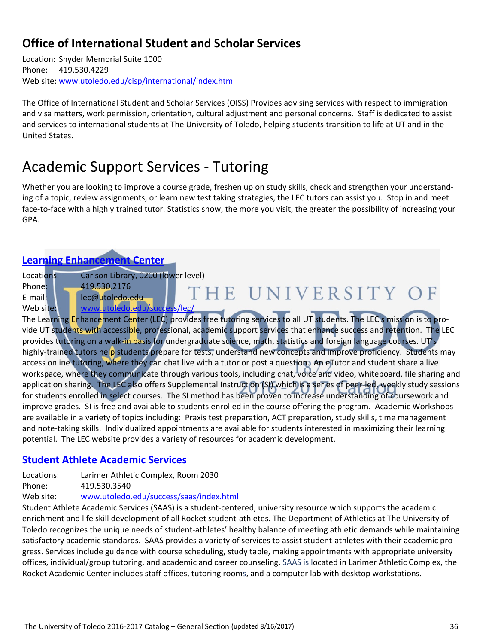### **Office of International Student and Scholar Services**

Location: Snyder Memorial Suite 1000 Phone: 419.530.4229 Web site: www.utoledo.edu/cisp/international/index.html

The Office of International Student and Scholar Services (OISS) Provides advising services with respect to immigration and visa matters, work permission, orientation, cultural adjustment and personal concerns. Staff is dedicated to assist and services to international students at The University of Toledo, helping students transition to life at UT and in the United States.

# Academic Support Services ‐ Tutoring

Whether you are looking to improve a course grade, freshen up on study skills, check and strengthen your understanding of a topic, review assignments, or learn new test taking strategies, the LEC tutors can assist you. Stop in and meet face-to-face with a highly trained tutor. Statistics show, the more you visit, the greater the possibility of increasing your GPA.

#### **Learning Enhancement Center**

Locations: Carlson Library, 0200 (lower level)

Phone: 419.530.2176 THE UNIVERSITY OF E-mail: lec@utoledo.edu Web site: www.utoledo.edu/success/lec/

The Learning Enhancement Center (LEC) provides free tutoring services to all UT students. The LEC's mission is to provide UT students with accessible, professional, academic support services that enhance success and retention. The LEC provides tutoring on a walk-in basis for undergraduate science, math, statistics and foreign language courses. UT's highly-trained tutors help students prepare for tests, understand new concepts and improve proficiency. Students may access online tutoring, where they can chat live with a tutor or post a question. An eTutor and student share a live workspace, where they communicate through various tools, including chat, voice and video, whiteboard, file sharing and application sharing. The LEC also offers Supplemental Instruction (SI) which is a series of peer-led, weekly study sessions for students enrolled in select courses. The SI method has been proven to increase understanding of coursework and improve grades. SI is free and available to students enrolled in the course offering the program. Academic Workshops are available in a variety of topics including: Praxis test preparation, ACT preparation, study skills, time management and note-taking skills. Individualized appointments are available for students interested in maximizing their learning potential. The LEC website provides a variety of resources for academic development.

#### **Student Athlete Academic Services**

Locations: Larimer Athletic Complex, Room 2030

Phone: 419.530.3540

Web site: www.utoledo.edu/success/saas/index.html

Student Athlete Academic Services (SAAS) is a student‐centered, university resource which supports the academic enrichment and life skill development of all Rocket student‐athletes. The Department of Athletics at The University of Toledo recognizes the unique needs of student‐athletes' healthy balance of meeting athletic demands while maintaining satisfactory academic standards. SAAS provides a variety of services to assist student-athletes with their academic progress. Services include guidance with course scheduling, study table, making appointments with appropriate university offices, individual/group tutoring, and academic and career counseling. SAAS is located in Larimer Athletic Complex, the Rocket Academic Center includes staff offices, tutoring rooms, and a computer lab with desktop workstations.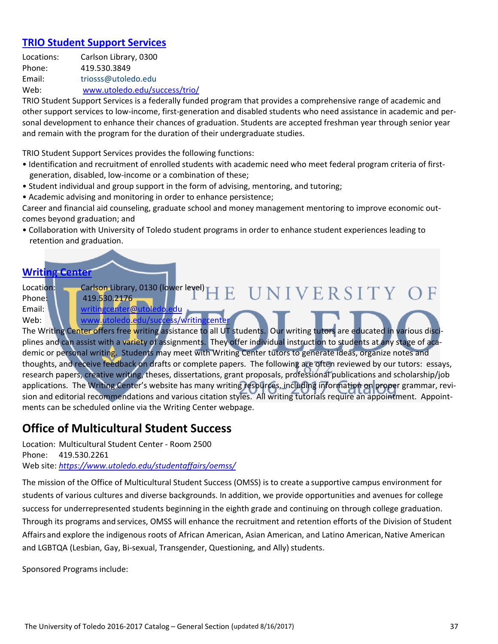#### **TRIO Student Support Services**

Locations: Carlson Library, 0300 Phone: 419.530.3849 Email: triosss@utoledo.edu Web: www.utoledo.edu/success/trio/

TRIO Student Support Services is a federally funded program that provides a comprehensive range of academic and other support services to low‐income, first‐generation and disabled students who need assistance in academic and per‐ sonal development to enhance their chances of graduation. Students are accepted freshman year through senior year and remain with the program for the duration of their undergraduate studies.

TRIO Student Support Services provides the following functions:

- Identification and recruitment of enrolled students with academic need who meet federal program criteria of first‐ generation, disabled, low‐income or a combination of these;
- Student individual and group support in the form of advising, mentoring, and tutoring;
- Academic advising and monitoring in order to enhance persistence;

Career and financial aid counseling, graduate school and money management mentoring to improve economic out‐ comes beyond graduation; and

• Collaboration with University of Toledo student programs in order to enhance student experiences leading to retention and graduation.

#### **Writing Center**

Location: Carlson Library, 0130 (lower level) UNIVERSITY OF F. Phone: 419.530.2176 Email: **WEDO.** writingcenter@ Web: Web: Washington www.utoledo.edu/success/writing

The Writing Center offers free writing assistance to all UT students. Our writing tutors are educated in various disciplines and can assist with a variety of assignments. They offer individual instruction to students at any stage of academic or personal writing. Students may meet with Writing Center tutors to generate ideas, organize notes and thoughts, and receive feedback on drafts or complete papers. The following are often reviewed by our tutors: essays, research papers, creative writing, theses, dissertations, grant proposals, professional publications and scholarship/job applications. The Writing Center's website has many writing resources, including information on proper grammar, revision and editorial recommendations and various citation styles. All writing tutorials require an appointment. Appointments can be scheduled online via the Writing Center webpage.

#### **Office of Multicultural Student Success**

Location: Multicultural Student Center ‐ Room 2500 Phone: 419.530.2261 Web site: *https://www.utoledo.edu/studentaffairs/oemss/*

The mission of the Office of Multicultural Student Success (OMSS) is to create a supportive campus environment for students of various cultures and diverse backgrounds. In addition, we provide opportunities and avenues for college success for underrepresented students beginning in the eighth grade and continuing on through college graduation. Through its programs and services, OMSS will enhance the recruitment and retention efforts of the Division of Student Affairs and explore the indigenous roots of African American, Asian American, and Latino American, Native American and LGBTQA (Lesbian, Gay, Bi-sexual, Transgender, Questioning, and Ally) students.

Sponsored Programs include: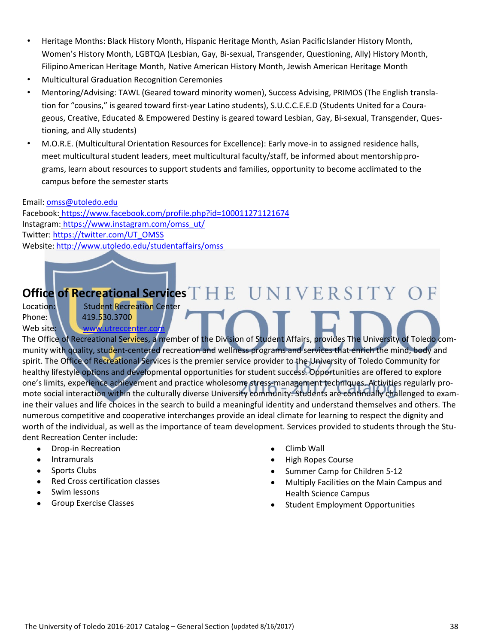- Heritage Months: Black History Month, Hispanic Heritage Month, Asian Pacific Islander History Month, Women's History Month, LGBTQA (Lesbian, Gay, Bi‐sexual, Transgender, Questioning, Ally) History Month, Filipino American Heritage Month, Native American History Month, Jewish American Heritage Month
- Multicultural Graduation Recognition Ceremonies
- Mentoring/Advising: TAWL (Geared toward minority women), Success Advising, PRIMOS (The English transla‐ tion for "cousins," is geared toward first-year Latino students), S.U.C.C.E.E.D (Students United for a Courageous, Creative, Educated & Empowered Destiny is geared toward Lesbian, Gay, Bi‐sexual, Transgender, Ques‐ tioning, and Ally students)
- M.O.R.E. (Multicultural Orientation Resources for Excellence): Early move‐in to assigned residence halls, meet multicultural student leaders, meet multicultural faculty/staff, be informed about mentorship programs, learn about resources to support students and families, opportunity to become acclimated to the campus before the semester starts

#### Email: omss@utoledo.edu

Facebook: https://www.facebook.com/profile.php?id=100011271121674 Instagram: https://www.instagram.com/omss\_ut/ Twitter: https://twitter.com/UT\_OMSS Website: http://www.utoledo.edu/studentaffairs/omss

# **Office of Recreational Services**

Location: **Student Recreation Center** Phone: 1 419.530.3700 Web site: **WWW.utreccenter.** 

The Office of Recreational Services, a member of the Division of Student Affairs, provides The University of Toledo community with quality, student‐centered recreation and wellness programs and services that enrich the mind, body and spirit. The Office of Recreational Services is the premier service provider to the University of Toledo Community for healthy lifestyle options and developmental opportunities for student success. Opportunities are offered to explore one's limits, experience achievement and practice wholesome stress-management techniques. Activities regularly promote social interaction within the culturally diverse University community. Students are continually challenged to examine their values and life choices in the search to build a meaningful identity and understand themselves and others. The numerous competitive and cooperative interchanges provide an ideal climate for learning to respect the dignity and worth of the individual, as well as the importance of team development. Services provided to students through the Student Recreation Center include:

- Drop-in Recreation
- Intramurals
- Sports Clubs
- Red Cross certification classes
- Swim lessons
- Group Exercise Classes
- Climb Wall
- High Ropes Course
- Summer Camp for Children 5‐12
- Multiply Facilities on the Main Campus and Health Science Campus
- Student Employment Opportunities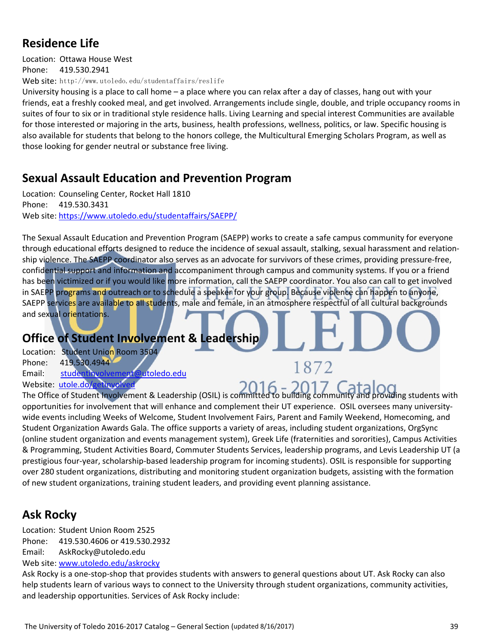## **Residence Life**

Location: Ottawa House West Phone: 419.530.2941 Web site: http://www.utoledo.edu/studentaffairs/reslife

University housing is a place to call home – a place where you can relax after a day of classes, hang out with your friends, eat a freshly cooked meal, and get involved. Arrangements include single, double, and triple occupancy rooms in suites of four to six or in traditional style residence halls. Living Learning and special interest Communities are available for those interested or majoring in the arts, business, health professions, wellness, politics, or law. Specific housing is also available for students that belong to the honors college, the Multicultural Emerging Scholars Program, as well as those looking for gender neutral or substance free living.

### **Sexual Assault Education and Prevention Program**

Location: Counseling Center, Rocket Hall 1810 Phone: 419.530.3431 Web site: https://www.utoledo.edu/studentaffairs/SAEPP/

The Sexual Assault Education and Prevention Program (SAEPP) works to create a safe campus community for everyone through educational efforts designed to reduce the incidence of sexual assault, stalking, sexual harassment and relation‐ ship violence. The SAEPP coordinator also serves as an advocate for survivors of these crimes, providing pressure-free, confidential support and information and accompaniment through campus and community systems. If you or a friend has been victimized or if you would like more information, call the SAEPP coordinator. You also can call to get involved in SAEPP programs and outreach or to schedule a speaker for your group. Because violence can happen to anyone, SAEPP services are available to all students, male and female, in an atmosphere respectful of all cultural backgrounds and sexual orientations.

### **Office of Student Involvement & Leadership**

- Location: Student Union Room 3504 Phone: 419.530.4944 Email: studentinvolvement@utoledo.edu
- Website: utole.do/getinvolve

The Office of Student Involvement & Leadership (OSIL) is committed to building community and providing students with opportunities for involvement that will enhance and complement their UT experience. OSIL oversees many university‐ wide events including Weeks of Welcome, Student Involvement Fairs, Parent and Family Weekend, Homecoming, and Student Organization Awards Gala. The office supports a variety of areas, including student organizations, OrgSync (online student organization and events management system), Greek Life (fraternities and sororities), Campus Activities & Programming, Student Activities Board, Commuter Students Services, leadership programs, and Levis Leadership UT (a prestigious four‐year, scholarship‐based leadership program for incoming students). OSIL is responsible for supporting over 280 student organizations, distributing and monitoring student organization budgets, assisting with the formation of new student organizations, training student leaders, and providing event planning assistance.

1872

## **Ask Rocky**

Location: Student Union Room 2525 Phone: 419.530.4606 or 419.530.2932 Email: AskRocky@utoledo.edu Web site: www.utoledo.edu/askrocky

Ask Rocky is a one‐stop‐shop that provides students with answers to general questions about UT. Ask Rocky can also help students learn of various ways to connect to the University through student organizations, community activities, and leadership opportunities. Services of Ask Rocky include: